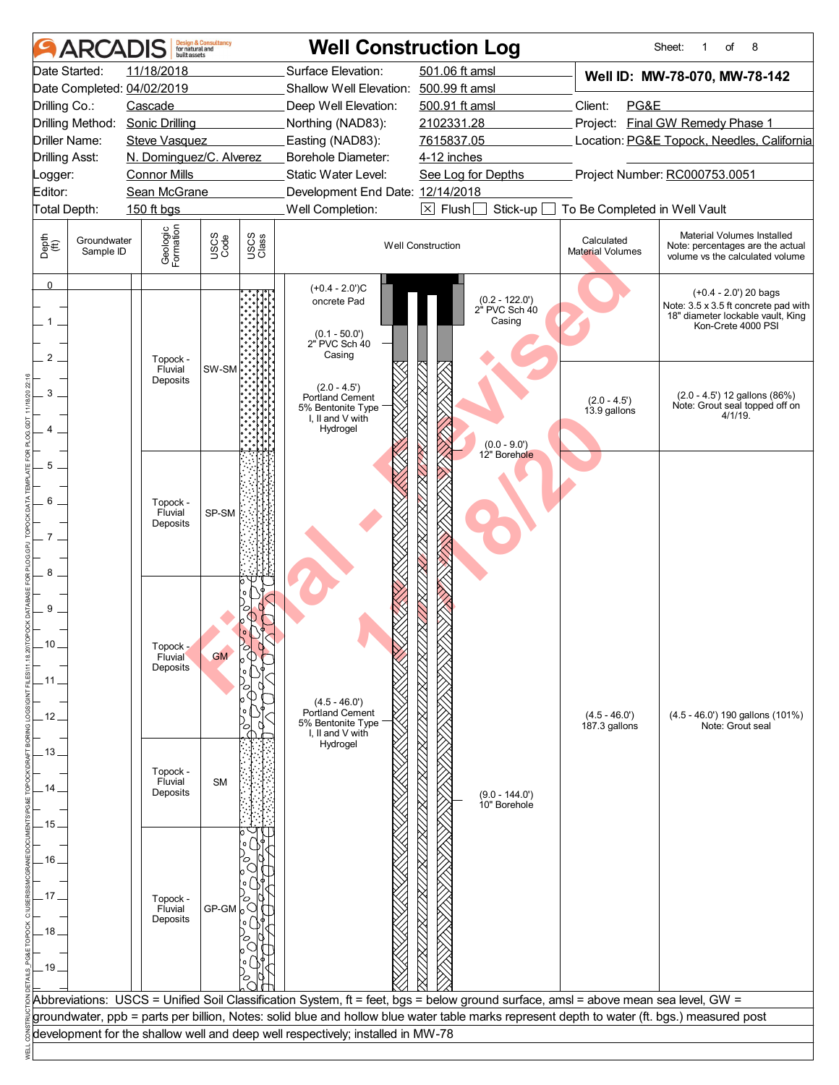|                                | ARCADIS                  | built assets                                            | <b>Design &amp; Consultancy</b><br>for natural and |               | <b>Well Construction Log</b>                                                                                                                |                          |                                           |                                       | Sheet:<br>8<br>of<br>1                                                                                                     |
|--------------------------------|--------------------------|---------------------------------------------------------|----------------------------------------------------|---------------|---------------------------------------------------------------------------------------------------------------------------------------------|--------------------------|-------------------------------------------|---------------------------------------|----------------------------------------------------------------------------------------------------------------------------|
|                                | Date Started:            | 11/18/2018                                              |                                                    |               | Surface Elevation:                                                                                                                          | 501.06 ft amsl           |                                           |                                       | Well ID: MW-78-070, MW-78-142                                                                                              |
|                                |                          | Date Completed: 04/02/2019                              |                                                    |               | Shallow Well Elevation: 500.99 ft amsl                                                                                                      |                          |                                           |                                       |                                                                                                                            |
| Drilling Co.:                  |                          | Cascade                                                 |                                                    |               | Deep Well Elevation:                                                                                                                        | 500.91 ft amsl           |                                           | Client:<br>PG&E                       |                                                                                                                            |
|                                | Driller Name:            | Drilling Method: Sonic Drilling<br><b>Steve Vasquez</b> |                                                    |               | Northing (NAD83):                                                                                                                           | 2102331.28<br>7615837.05 |                                           |                                       | Project: Final GW Remedy Phase 1<br>Location: PG&E Topock, Needles, California                                             |
| <b>Drilling Asst:</b>          |                          | N. Dominguez/C. Alverez                                 |                                                    |               | Easting (NAD83):<br>Borehole Diameter:                                                                                                      | 4-12 inches              |                                           |                                       |                                                                                                                            |
| Logger:                        |                          | <b>Connor Mills</b>                                     |                                                    |               | Static Water Level:                                                                                                                         | See Log for Depths       |                                           |                                       | Project Number: RC000753.0051                                                                                              |
| Editor:                        |                          | Sean McGrane                                            |                                                    |               | Development End Date: 12/14/2018                                                                                                            |                          |                                           |                                       |                                                                                                                            |
| Total Depth:                   |                          | 150 ft bgs                                              |                                                    |               | Well Completion:                                                                                                                            | $\boxed{\times}$ Flush   | Stick-up [                                | To Be Completed in Well Vault         |                                                                                                                            |
| Depth<br>$\bigoplus_{i=1}^{n}$ | Groundwater<br>Sample ID | Geologic<br>Formation                                   | USCS<br>Code                                       | USCS<br>Class |                                                                                                                                             | <b>Well Construction</b> |                                           | Calculated<br><b>Material Volumes</b> | Material Volumes Installed<br>Note: percentages are the actual<br>volume vs the calculated volume                          |
| $\overline{0}$<br>1            |                          |                                                         |                                                    |               | $(+0.4 - 2.0)$ °C<br>oncrete Pad<br>$(0.1 - 50.0')$<br>2" PVC Sch 40<br>Casing                                                              |                          | (0.2 - 122.0')<br>2" PVC Sch 40<br>Casing |                                       | $(+0.4 - 2.0')$ 20 bags<br>Note: 3.5 x 3.5 ft concrete pad with<br>18" diameter lockable vault, King<br>Kon-Crete 4000 PSI |
| $\overline{2}$<br>3            |                          | Topock -<br>Fluvial<br>Deposits                         | SW-SM                                              |               | $(2.0 - 4.5')$<br>Portland Cement<br>5% Bentonite Type<br>I, II and V with<br>Hydrogel                                                      |                          | $(0.0 - 9.0')$                            | $(2.0 - 4.5')$<br>13.9 gallons        | $(2.0 - 4.5')$ 12 gallons $(86%)$<br>Note: Grout seal topped off on<br>4/1/19.                                             |
| 5<br>6<br>$7^{\circ}$<br>8     |                          | Topock -<br>Fluvial<br>Deposits                         | SP-SM                                              |               |                                                                                                                                             |                          | 12" Borehole                              |                                       |                                                                                                                            |
| 9<br>10<br>. 11<br>. 12 .      |                          | Topock -<br><b>Fluvial</b><br>Deposits                  | <b>GM</b>                                          |               | $(4.5 - 46.0')$<br>Portland Cement<br>5% Bentonite Type<br>I, II and V with                                                                 |                          |                                           | $(4.5 - 46.0')$<br>187.3 gallons      | (4.5 - 46.0') 190 gallons (101%)<br>Note: Grout seal                                                                       |
| . 13<br>. 14.<br>- 15 .        |                          | Topock -<br>Fluvial<br>Deposits                         | <b>SM</b>                                          |               | Hydrogel                                                                                                                                    |                          | $(9.0 - 144.0')$<br>10" Borehole          |                                       |                                                                                                                            |
|                                |                          |                                                         |                                                    |               |                                                                                                                                             |                          |                                           |                                       |                                                                                                                            |
| . 16                           |                          |                                                         |                                                    |               |                                                                                                                                             |                          |                                           |                                       |                                                                                                                            |
|                                |                          |                                                         |                                                    |               |                                                                                                                                             |                          |                                           |                                       |                                                                                                                            |
| 17                             |                          | Topock -                                                |                                                    |               |                                                                                                                                             |                          |                                           |                                       |                                                                                                                            |
|                                |                          | Fluvial<br>Deposits                                     | $GP-GM$ <sub>0</sub> $\bigcirc$                    |               |                                                                                                                                             |                          |                                           |                                       |                                                                                                                            |
| .18.                           |                          |                                                         |                                                    |               |                                                                                                                                             |                          |                                           |                                       |                                                                                                                            |
|                                |                          |                                                         |                                                    |               |                                                                                                                                             |                          |                                           |                                       |                                                                                                                            |
| $-19-$                         |                          |                                                         |                                                    |               |                                                                                                                                             |                          |                                           |                                       |                                                                                                                            |
|                                |                          |                                                         |                                                    |               |                                                                                                                                             |                          |                                           |                                       |                                                                                                                            |
|                                |                          |                                                         |                                                    |               | Abbreviations: USCS = Unified Soil Classification System, ft = feet, bgs = below ground surface, amsl = above mean sea level, GW =          |                          |                                           |                                       |                                                                                                                            |
|                                |                          |                                                         |                                                    |               | groundwater, ppb = parts per billion, Notes: solid blue and hollow blue water table marks represent depth to water (ft. bgs.) measured post |                          |                                           |                                       |                                                                                                                            |
|                                |                          |                                                         |                                                    |               | development for the shallow well and deep well respectively; installed in MW-78                                                             |                          |                                           |                                       |                                                                                                                            |
|                                |                          |                                                         |                                                    |               |                                                                                                                                             |                          |                                           |                                       |                                                                                                                            |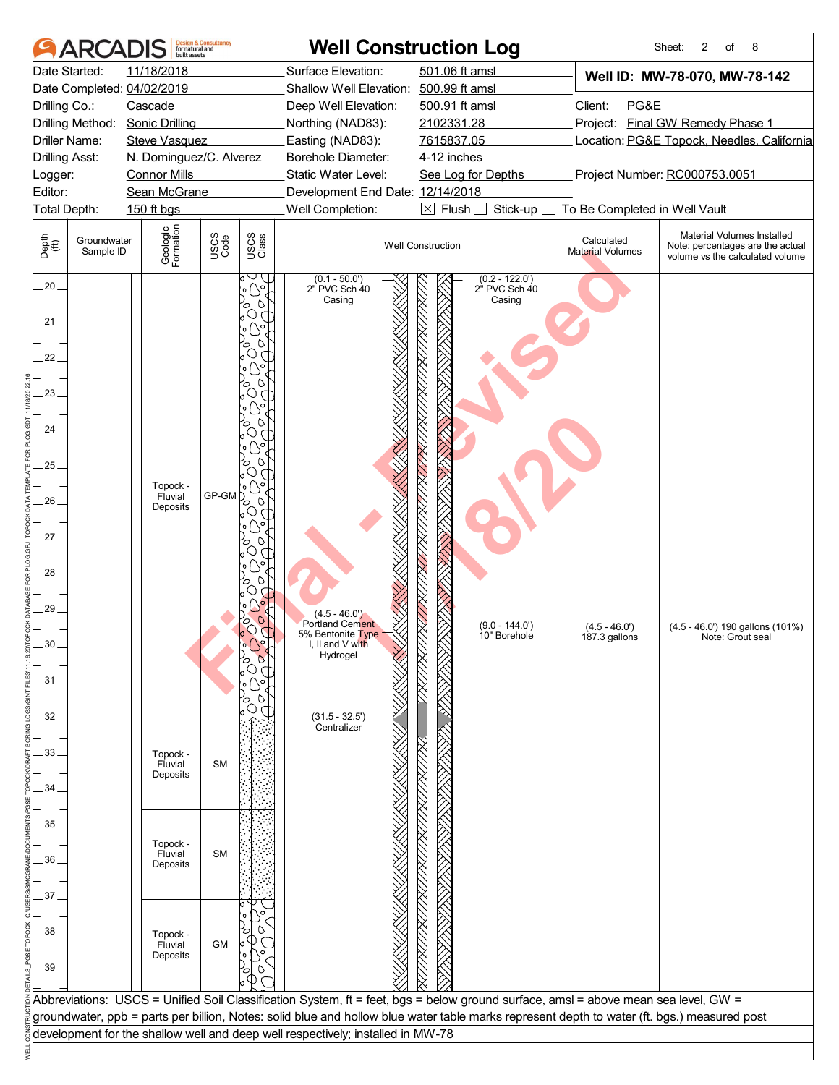| <b>ARCA</b>                                                                                                                           | <b>Design &amp; Consultancy</b><br>for natural and<br>huilt assets                                                       |                                                     |                                                                                                                                                                                 | <b>Well Construction Log</b>                                                                                                                                                                                                                                                      |                                                                 | 2<br>8<br>Sheet:<br>of                                                                                                                           |
|---------------------------------------------------------------------------------------------------------------------------------------|--------------------------------------------------------------------------------------------------------------------------|-----------------------------------------------------|---------------------------------------------------------------------------------------------------------------------------------------------------------------------------------|-----------------------------------------------------------------------------------------------------------------------------------------------------------------------------------------------------------------------------------------------------------------------------------|-----------------------------------------------------------------|--------------------------------------------------------------------------------------------------------------------------------------------------|
| Date Started:<br>Date Completed: 04/02/2019<br>Drilling Co.:<br>Drilling Method:<br>Driller Name:<br><b>Drilling Asst:</b><br>Logger: | 11/18/2018<br>Cascade<br><b>Sonic Drilling</b><br><b>Steve Vasquez</b><br>N. Dominguez/C. Alverez<br><b>Connor Mills</b> |                                                     | Surface Elevation:<br>Shallow Well Elevation: 500.99 ft amsl<br>Deep Well Elevation:<br>Northing (NAD83):<br>Easting (NAD83):<br>Borehole Diameter:<br>Static Water Level:      | 501.06 ft amsl<br>500.91 ft amsl<br>2102331.28<br>7615837.05<br>4-12 inches<br>See Log for Depths                                                                                                                                                                                 | Client:<br>PG&E                                                 | Well ID: MW-78-070, MW-78-142<br>Project: Final GW Remedy Phase 1<br>Location: PG&E Topock, Needles, California<br>Project Number: RC000753.0051 |
| Editor:                                                                                                                               | Sean McGrane                                                                                                             |                                                     | Development End Date: 12/14/2018                                                                                                                                                | $\boxtimes$ Flush [                                                                                                                                                                                                                                                               |                                                                 |                                                                                                                                                  |
| Total Depth:<br>Depth<br>(ff)<br>Groundwater<br>Sample ID                                                                             | 150 ft bgs<br>Geologic<br>Formation                                                                                      | USCS<br>Code<br>USCS<br>Class                       | Well Completion:                                                                                                                                                                | Stick-up<br><b>Well Construction</b>                                                                                                                                                                                                                                              | To Be Completed in Well Vault<br>Calculated<br>Material Volumes | Material Volumes Installed<br>Note: percentages are the actual<br>volume vs the calculated volume                                                |
| $.20 -$<br>$21 -$<br>22.<br>23<br>24.<br>25<br>26<br>27.<br>28<br>29.<br>30<br>.31<br>32                                              | Topock -<br>Fluvial<br>Deposits                                                                                          | $\circ$ (<br>C<br>$\circ$<br>ō<br>GP-GM<br>$\sigma$ | $(0.1 - 50.0')$<br>2" PVC Sch 40<br>Casing<br>$(4.5 - 46.0')$<br><b>Portland Cement</b><br>5% Bentonite Type<br>I, II and V with<br>Hydrogel<br>$(31.5 - 32.5')$<br>Centralizer | $(0.2 - 122.0)$<br>2" PVC Sch 40<br>Casing<br>$(9.0 - 144.0')$<br>10" Borehole                                                                                                                                                                                                    | $(4.5 - 46.0')$<br>187.3 gallons                                | (4.5 - 46.0') 190 gallons (101%)<br>Note: Grout seal                                                                                             |
| 33.<br>34                                                                                                                             | Topock -<br>Fluvial<br>Deposits                                                                                          | <b>SM</b>                                           |                                                                                                                                                                                 |                                                                                                                                                                                                                                                                                   |                                                                 |                                                                                                                                                  |
| 35 <sub>1</sub><br>36                                                                                                                 | Topock -<br>Fluvial<br>Deposits                                                                                          | <b>SM</b>                                           |                                                                                                                                                                                 |                                                                                                                                                                                                                                                                                   |                                                                 |                                                                                                                                                  |
| 37<br>38<br>.39                                                                                                                       | Topock -<br>Fluvial<br>Deposits                                                                                          | <b>GM</b>                                           |                                                                                                                                                                                 |                                                                                                                                                                                                                                                                                   |                                                                 |                                                                                                                                                  |
|                                                                                                                                       |                                                                                                                          |                                                     | development for the shallow well and deep well respectively; installed in MW-78                                                                                                 | Abbreviations: USCS = Unified Soil Classification System, ft = feet, bgs = below ground surface, amsl = above mean sea level, GW =<br>groundwater, ppb = parts per billion, Notes: solid blue and hollow blue water table marks represent depth to water (ft. bgs.) measured post |                                                                 |                                                                                                                                                  |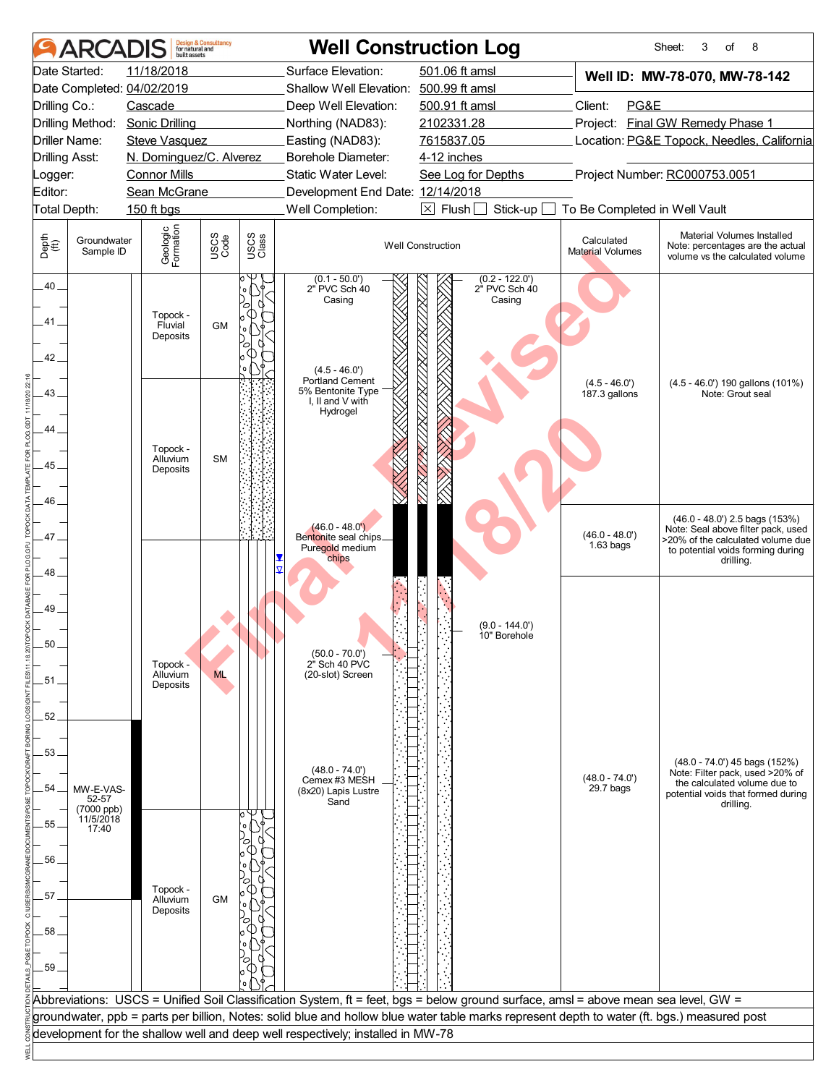|                                | ARCADIS                          | built assets                                    | <b>Design &amp; Consultancy</b><br>for natural and |               | <b>Well Construction Log</b>                                                    |                                                                                                                                             |                                       | Sheet:<br>8<br>3<br>of                                                                                                                         |
|--------------------------------|----------------------------------|-------------------------------------------------|----------------------------------------------------|---------------|---------------------------------------------------------------------------------|---------------------------------------------------------------------------------------------------------------------------------------------|---------------------------------------|------------------------------------------------------------------------------------------------------------------------------------------------|
|                                | Date Started:                    | 11/18/2018                                      |                                                    |               | Surface Elevation:                                                              | 501.06 ft amsl                                                                                                                              |                                       | Well ID: MW-78-070, MW-78-142                                                                                                                  |
|                                |                                  | Date Completed: 04/02/2019                      |                                                    |               | Shallow Well Elevation: 500.99 ft amsl                                          |                                                                                                                                             |                                       |                                                                                                                                                |
| Drilling Co.:                  |                                  | Cascade                                         |                                                    |               | Deep Well Elevation:                                                            | 500.91 ft amsl                                                                                                                              | Client:<br>PG&E                       |                                                                                                                                                |
|                                |                                  | Drilling Method: Sonic Drilling                 |                                                    |               | Northing (NAD83):                                                               | 2102331.28                                                                                                                                  |                                       | Project: Final GW Remedy Phase 1                                                                                                               |
| <b>Drilling Asst:</b>          | <b>Driller Name:</b>             | <b>Steve Vasquez</b><br>N. Dominguez/C. Alverez |                                                    |               | Easting (NAD83):<br>Borehole Diameter:                                          | 7615837.05<br>4-12 inches                                                                                                                   |                                       | Location: PG&E Topock, Needles, California                                                                                                     |
| Logger:                        |                                  | <b>Connor Mills</b>                             |                                                    |               | Static Water Level:                                                             | See Log for Depths                                                                                                                          |                                       | Project Number: RC000753.0051                                                                                                                  |
| Editor:                        |                                  | Sean McGrane                                    |                                                    |               | Development End Date: 12/14/2018                                                |                                                                                                                                             |                                       |                                                                                                                                                |
|                                | Total Depth:                     | 150 ft bgs                                      |                                                    |               | Well Completion:                                                                | $\boxtimes$ Flush<br>Stick-up                                                                                                               | To Be Completed in Well Vault         |                                                                                                                                                |
| Depth<br>$\bigoplus_{i=1}^{n}$ | Groundwater<br>Sample ID         | Geologic<br>Formation                           | USCS<br>Code                                       | USCS<br>Class |                                                                                 | <b>Well Construction</b>                                                                                                                    | Calculated<br><b>Material Volumes</b> | Material Volumes Installed<br>Note: percentages are the actual<br>volume vs the calculated volume                                              |
| $.40 -$<br>41.                 |                                  | Topock -<br>Fluvial                             | <b>GM</b>                                          |               | $(0.1 - 50.0')$<br>2" PVC Sch 40<br>Casing                                      | $(0.2 - 122.0')$<br>2" PVC Sch 40<br>Casing                                                                                                 |                                       |                                                                                                                                                |
| 42.                            |                                  | Deposits                                        |                                                    |               | $(4.5 - 46.0')$<br>Portland Cement                                              |                                                                                                                                             | $(4.5 - 46.0)$                        | (4.5 - 46.0') 190 gallons (101%)                                                                                                               |
| 43<br>44                       |                                  |                                                 |                                                    |               | 5% Bentonite Type<br>I, II and V with<br>Hydrogel                               |                                                                                                                                             | 187.3 gallons                         | Note: Grout seal                                                                                                                               |
| 45                             |                                  | Topock -<br>Alluvium<br>Deposits                | <b>SM</b>                                          |               |                                                                                 |                                                                                                                                             |                                       |                                                                                                                                                |
| 46.<br>47.                     |                                  |                                                 |                                                    |               | $(46.0 - 48.0')$<br>Bentonite seal chips_<br>Puregold medium                    |                                                                                                                                             | $(46.0 - 48.0')$<br>$1.63$ bags       | (46.0 - 48.0') 2.5 bags (153%)<br>Note: Seal above filter pack, used<br>>20% of the calculated volume due<br>to potential voids forming during |
| 48<br>49.                      |                                  |                                                 |                                                    |               | chips                                                                           |                                                                                                                                             |                                       | drilling.                                                                                                                                      |
| 50                             |                                  | Topock -                                        |                                                    |               | $(50.0 - 70.0')$<br>2" Sch 40 PVC                                               | $(9.0 - 144.0')$<br>10" Borehole                                                                                                            |                                       |                                                                                                                                                |
| .51.<br>52                     |                                  | Alluvium<br>Deposits                            | <b>ML</b>                                          |               | (20-slot) Screen                                                                |                                                                                                                                             |                                       |                                                                                                                                                |
| 53.                            |                                  |                                                 |                                                    |               | $(48.0 - 74.0')$<br>Cemex #3 MESH                                               |                                                                                                                                             | $(48.0 - 74.0')$                      | $(48.0 - 74.0')$ 45 bags $(152%)$<br>Note: Filter pack, used >20% of                                                                           |
| 54                             | MW-E-VAS-<br>52-57               |                                                 |                                                    |               | (8x20) Lapis Lustre<br>Sand                                                     |                                                                                                                                             | $29.7$ bags                           | the calculated volume due to<br>potential voids that formed during<br>drilling.                                                                |
| 55.                            | (7000 ppb)<br>11/5/2018<br>17:40 |                                                 |                                                    |               |                                                                                 |                                                                                                                                             |                                       |                                                                                                                                                |
| 56                             |                                  |                                                 |                                                    |               |                                                                                 |                                                                                                                                             |                                       |                                                                                                                                                |
|                                |                                  |                                                 |                                                    |               |                                                                                 |                                                                                                                                             |                                       |                                                                                                                                                |
| 57                             |                                  | Topock -<br>Alluvium                            | <b>GM</b>                                          |               |                                                                                 |                                                                                                                                             |                                       |                                                                                                                                                |
| 58                             |                                  | Deposits                                        |                                                    |               |                                                                                 |                                                                                                                                             |                                       |                                                                                                                                                |
| .59.                           |                                  |                                                 |                                                    |               |                                                                                 |                                                                                                                                             |                                       |                                                                                                                                                |
|                                |                                  |                                                 |                                                    |               |                                                                                 | Abbreviations: USCS = Unified Soil Classification System, ft = feet, bgs = below ground surface, amsl = above mean sea level, GW =          |                                       |                                                                                                                                                |
|                                |                                  |                                                 |                                                    |               |                                                                                 | groundwater, ppb = parts per billion, Notes: solid blue and hollow blue water table marks represent depth to water (ft. bgs.) measured post |                                       |                                                                                                                                                |
|                                |                                  |                                                 |                                                    |               | development for the shallow well and deep well respectively; installed in MW-78 |                                                                                                                                             |                                       |                                                                                                                                                |
|                                |                                  |                                                 |                                                    |               |                                                                                 |                                                                                                                                             |                                       |                                                                                                                                                |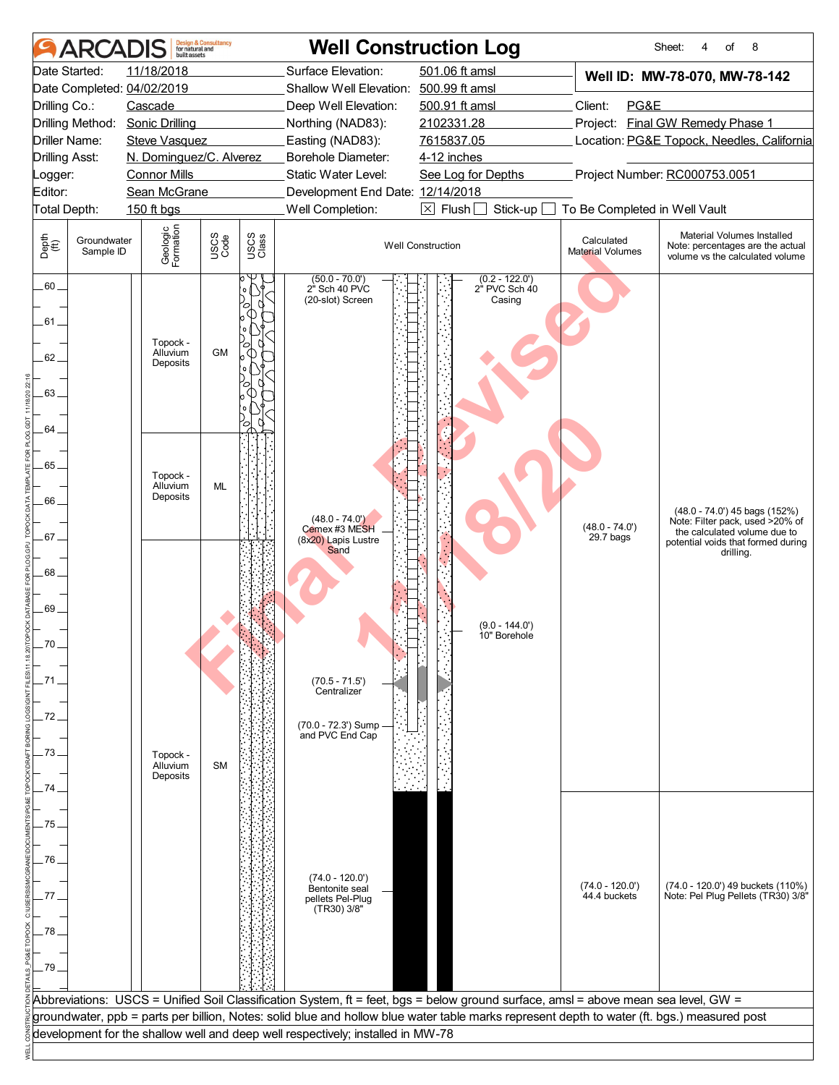|                                | <b>ARCA</b>              | built assets                             | <b>Design &amp; Consultancy</b><br>for natural and |               | <b>Well Construction Log</b>                                                    |                                                                                                                                             |                                       | 8<br>Sheet:<br>4<br>of                                                                               |
|--------------------------------|--------------------------|------------------------------------------|----------------------------------------------------|---------------|---------------------------------------------------------------------------------|---------------------------------------------------------------------------------------------------------------------------------------------|---------------------------------------|------------------------------------------------------------------------------------------------------|
|                                | Date Started:            | 11/18/2018<br>Date Completed: 04/02/2019 |                                                    |               | Surface Elevation:<br>Shallow Well Elevation:                                   | 501.06 ft amsl<br>500.99 ft amsl                                                                                                            |                                       | Well ID: MW-78-070, MW-78-142                                                                        |
| Drilling Co.:                  |                          | Cascade                                  |                                                    |               | Deep Well Elevation:                                                            | 500.91 ft amsl                                                                                                                              | Client:<br>PG&E                       |                                                                                                      |
|                                |                          | Drilling Method: Sonic Drilling          |                                                    |               | Northing (NAD83):                                                               | 2102331.28                                                                                                                                  |                                       | Project: Final GW Remedy Phase 1                                                                     |
|                                | Driller Name:            | <b>Steve Vasquez</b>                     |                                                    |               | Easting (NAD83):                                                                | 7615837.05                                                                                                                                  |                                       | Location: PG&E Topock, Needles, California                                                           |
|                                | <b>Drilling Asst:</b>    | N. Dominguez/C. Alverez                  |                                                    |               | Borehole Diameter:<br>Static Water Level:                                       | 4-12 inches                                                                                                                                 |                                       |                                                                                                      |
| Logger:<br>Editor:             |                          | <b>Connor Mills</b><br>Sean McGrane      |                                                    |               | Development End Date: 12/14/2018                                                | See Log for Depths                                                                                                                          |                                       | Project Number: RC000753.0051                                                                        |
|                                | Total Depth:             | 150 ft bgs                               |                                                    |               | Well Completion:                                                                | $\boxtimes$ Flush $\Box$<br>Stick-up                                                                                                        | To Be Completed in Well Vault         |                                                                                                      |
| Depth<br>$\bigoplus_{i=1}^{n}$ | Groundwater<br>Sample ID | Geologic<br>Formation                    | USCS<br>Code                                       | USCS<br>Class |                                                                                 | <b>Well Construction</b>                                                                                                                    | Calculated<br><b>Material Volumes</b> | Material Volumes Installed<br>Note: percentages are the actual                                       |
|                                |                          |                                          |                                                    |               |                                                                                 | $(0.2 - 122.0)$                                                                                                                             |                                       | volume vs the calculated volume                                                                      |
| $.60 -$<br>.61 .               |                          |                                          |                                                    |               | $(50.0 - 70.0')$<br>2" Sch 40 PVC<br>(20-slot) Screen                           | 2" PVC Sch 40<br>Casing                                                                                                                     |                                       |                                                                                                      |
| 62.                            |                          | Topock -<br>Alluvium<br>Deposits         | <b>GM</b>                                          |               |                                                                                 |                                                                                                                                             |                                       |                                                                                                      |
| 63                             |                          |                                          |                                                    |               |                                                                                 |                                                                                                                                             |                                       |                                                                                                      |
|                                |                          |                                          |                                                    |               |                                                                                 |                                                                                                                                             |                                       |                                                                                                      |
| 64.                            |                          |                                          |                                                    |               |                                                                                 |                                                                                                                                             |                                       |                                                                                                      |
| 65                             |                          | Topock -                                 |                                                    |               |                                                                                 |                                                                                                                                             |                                       |                                                                                                      |
| .66.                           |                          | Alluvium<br>Deposits                     | ML                                                 |               |                                                                                 |                                                                                                                                             |                                       |                                                                                                      |
|                                |                          |                                          |                                                    |               | $(48.0 - 74.0')$<br>Cemex #3 MESH                                               |                                                                                                                                             | $(48.0 - 74.0')$                      | $(48.0 - 74.0')$ 45 bags $(152%)$<br>Note: Filter pack, used >20% of<br>the calculated volume due to |
| 67.                            |                          |                                          |                                                    |               | (8x20) Lapis Lustre<br>Sand                                                     |                                                                                                                                             | 29.7 bags                             | potential voids that formed during<br>drilling.                                                      |
| 68                             |                          |                                          |                                                    |               |                                                                                 |                                                                                                                                             |                                       |                                                                                                      |
| 69.                            |                          |                                          |                                                    |               |                                                                                 |                                                                                                                                             |                                       |                                                                                                      |
|                                |                          |                                          |                                                    |               |                                                                                 | $(9.0 - 144.0')$<br>10" Borehole                                                                                                            |                                       |                                                                                                      |
| 70                             |                          |                                          |                                                    |               |                                                                                 |                                                                                                                                             |                                       |                                                                                                      |
| .71                            |                          |                                          |                                                    |               | $(70.5 - 71.5')$<br>Centralizer                                                 |                                                                                                                                             |                                       |                                                                                                      |
| .72                            |                          |                                          |                                                    |               |                                                                                 |                                                                                                                                             |                                       |                                                                                                      |
|                                |                          |                                          |                                                    |               | (70.0 - 72.3') Sump<br>and PVC End Cap                                          |                                                                                                                                             |                                       |                                                                                                      |
| .73                            |                          | Topock -<br>Alluvium                     | <b>SM</b>                                          |               |                                                                                 |                                                                                                                                             |                                       |                                                                                                      |
| 74                             |                          | Deposits                                 |                                                    |               |                                                                                 |                                                                                                                                             |                                       |                                                                                                      |
| .75                            |                          |                                          |                                                    |               |                                                                                 |                                                                                                                                             |                                       |                                                                                                      |
|                                |                          |                                          |                                                    |               |                                                                                 |                                                                                                                                             |                                       |                                                                                                      |
| .76                            |                          |                                          |                                                    |               | $(74.0 - 120.0')$                                                               |                                                                                                                                             |                                       |                                                                                                      |
| 77                             |                          |                                          |                                                    |               | Bentonite seal<br>pellets Pel-Plug                                              |                                                                                                                                             | $(74.0 - 120.0')$<br>44.4 buckets     | (74.0 - 120.0') 49 buckets (110%)<br>Note: Pel Plug Pellets (TR30) 3/8"                              |
| .78                            |                          |                                          |                                                    |               | (TR30) 3/8"                                                                     |                                                                                                                                             |                                       |                                                                                                      |
|                                |                          |                                          |                                                    |               |                                                                                 |                                                                                                                                             |                                       |                                                                                                      |
| -79 -                          |                          |                                          |                                                    |               |                                                                                 |                                                                                                                                             |                                       |                                                                                                      |
|                                |                          |                                          |                                                    |               |                                                                                 | Abbreviations: USCS = Unified Soil Classification System, ft = feet, bgs = below ground surface, amsl = above mean sea level, GW =          |                                       |                                                                                                      |
|                                |                          |                                          |                                                    |               |                                                                                 | groundwater, ppb = parts per billion, Notes: solid blue and hollow blue water table marks represent depth to water (ft. bgs.) measured post |                                       |                                                                                                      |
|                                |                          |                                          |                                                    |               | development for the shallow well and deep well respectively; installed in MW-78 |                                                                                                                                             |                                       |                                                                                                      |
|                                |                          |                                          |                                                    |               |                                                                                 |                                                                                                                                             |                                       |                                                                                                      |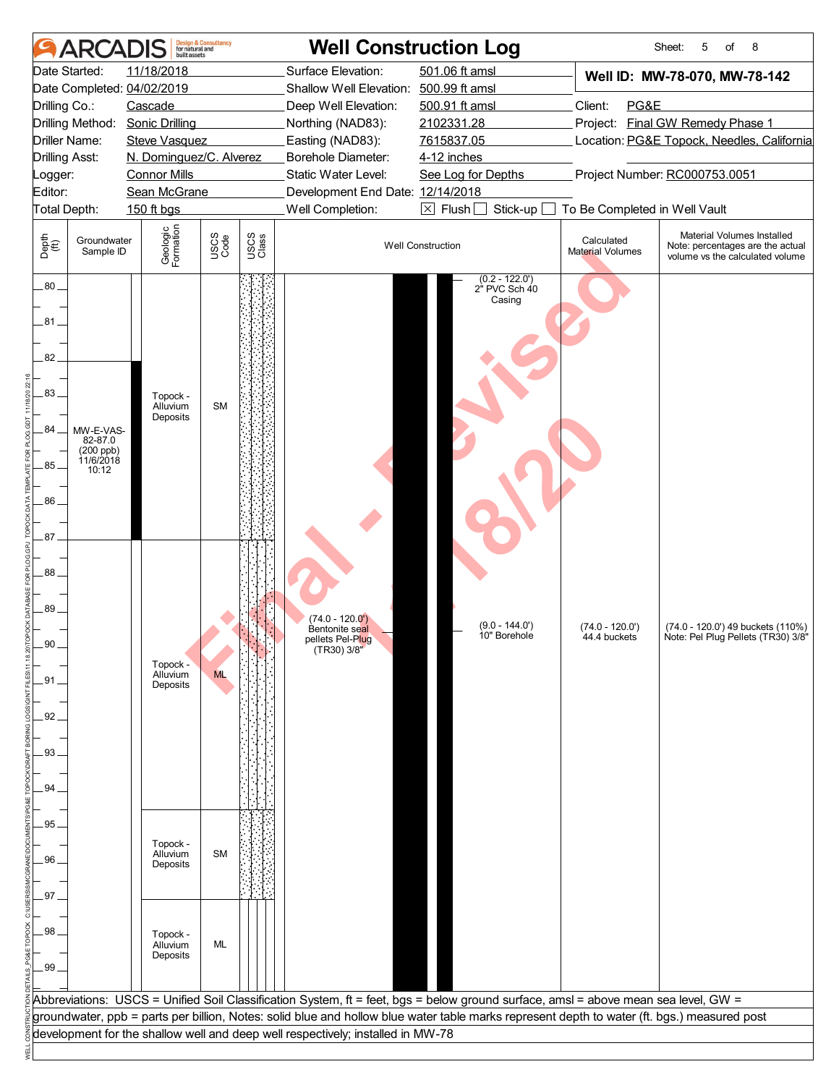| 501.06 ft amsl<br>Date Started:<br>11/18/2018<br>Surface Elevation:<br>Well ID: MW-78-070, MW-78-142<br>Date Completed: 04/02/2019<br>Shallow Well Elevation: 500.99 ft amsl<br>Client:<br>PG&E<br>Drilling Co.:<br>Cascade<br>Deep Well Elevation:<br>500.91 ft amsl<br>Project: Final GW Remedy Phase 1<br>Drilling Method:<br><b>Sonic Drilling</b><br>2102331.28<br>Northing (NAD83):<br>Easting (NAD83):<br>7615837.05<br>Location: PG&E Topock, Needles, California<br>Driller Name:<br><b>Steve Vasquez</b><br>N. Dominguez/C. Alverez<br>Borehole Diameter:<br><b>Drilling Asst:</b><br>4-12 inches<br>Static Water Level:<br>Project Number: RC000753.0051<br><b>Connor Mills</b><br>See Log for Depths<br>Logger:<br>Editor:<br>Sean McGrane<br>Development End Date: 12/14/2018<br>Total Depth:<br>Well Completion:<br>$\boxtimes$ Flush<br>Stick-up<br>To Be Completed in Well Vault<br>150 ft bgs<br>Geologic<br>Formation<br>Material Volumes Installed<br>USCS<br>Code<br>USCS<br>Class<br>Depth<br>$\bigoplus_{i=1}^{n}$<br>Groundwater<br>Calculated<br><b>Well Construction</b><br>Note: percentages are the actual<br><b>Material Volumes</b><br>Sample ID<br>volume vs the calculated volume<br>$(0.2 - 122.0)$<br>$.80 -$<br>2 <sup>h</sup> PVC Sch 40<br>Casing<br>.81.<br>82<br>83<br>Topock -<br>Alluvium<br><b>SM</b><br>Deposits<br>84<br>MW-E-VAS-<br>82-87.0<br>(200 ppb)<br>11/6/2018<br>85.<br>10:12<br>.86<br>87.<br>88<br>89.<br>$(74.0 - 120.0')$<br>$(9.0 - 144.0')$<br>$(74.0 - 120.0')$<br>(74.0 - 120.0') 49 buckets (110%)<br>Bentonite seal<br>10" Borehole<br>44.4 buckets<br>Note: Pel Plug Pellets (TR30) 3/8"<br>pellets Pel-P <mark>lu</mark> g<br>(TR30) 3/8"<br>90<br>Topock -<br>Alluvium<br><b>ML</b><br>$-91$<br>Deposits<br>.92.<br>.93<br>94<br>.95.<br>Topock -<br><b>SM</b><br>Alluvium<br>96<br>Deposits<br>97<br>98<br>Topock -<br>Alluvium<br>ML<br>Deposits<br>.99 <sub>1</sub><br>Abbreviations: USCS = Unified Soil Classification System, ft = feet, bgs = below ground surface, amsl = above mean sea level, GW =<br>groundwater, ppb = parts per billion, Notes: solid blue and hollow blue water table marks represent depth to water (ft. bgs.) measured post<br>development for the shallow well and deep well respectively; installed in MW-78 | <b>ARCADIS</b> | built assets | <b>Design &amp; Consultancy</b><br>for natural and | <b>Well Construction Log</b> |  | Sheet:<br>5<br>8<br>of |
|------------------------------------------------------------------------------------------------------------------------------------------------------------------------------------------------------------------------------------------------------------------------------------------------------------------------------------------------------------------------------------------------------------------------------------------------------------------------------------------------------------------------------------------------------------------------------------------------------------------------------------------------------------------------------------------------------------------------------------------------------------------------------------------------------------------------------------------------------------------------------------------------------------------------------------------------------------------------------------------------------------------------------------------------------------------------------------------------------------------------------------------------------------------------------------------------------------------------------------------------------------------------------------------------------------------------------------------------------------------------------------------------------------------------------------------------------------------------------------------------------------------------------------------------------------------------------------------------------------------------------------------------------------------------------------------------------------------------------------------------------------------------------------------------------------------------------------------------------------------------------------------------------------------------------------------------------------------------------------------------------------------------------------------------------------------------------------------------------------------------------------------------------------------------------------------------------------------------------------------------------------------------------------------------------------------|----------------|--------------|----------------------------------------------------|------------------------------|--|------------------------|
|                                                                                                                                                                                                                                                                                                                                                                                                                                                                                                                                                                                                                                                                                                                                                                                                                                                                                                                                                                                                                                                                                                                                                                                                                                                                                                                                                                                                                                                                                                                                                                                                                                                                                                                                                                                                                                                                                                                                                                                                                                                                                                                                                                                                                                                                                                                  |                |              |                                                    |                              |  |                        |
|                                                                                                                                                                                                                                                                                                                                                                                                                                                                                                                                                                                                                                                                                                                                                                                                                                                                                                                                                                                                                                                                                                                                                                                                                                                                                                                                                                                                                                                                                                                                                                                                                                                                                                                                                                                                                                                                                                                                                                                                                                                                                                                                                                                                                                                                                                                  |                |              |                                                    |                              |  |                        |
|                                                                                                                                                                                                                                                                                                                                                                                                                                                                                                                                                                                                                                                                                                                                                                                                                                                                                                                                                                                                                                                                                                                                                                                                                                                                                                                                                                                                                                                                                                                                                                                                                                                                                                                                                                                                                                                                                                                                                                                                                                                                                                                                                                                                                                                                                                                  |                |              |                                                    |                              |  |                        |
|                                                                                                                                                                                                                                                                                                                                                                                                                                                                                                                                                                                                                                                                                                                                                                                                                                                                                                                                                                                                                                                                                                                                                                                                                                                                                                                                                                                                                                                                                                                                                                                                                                                                                                                                                                                                                                                                                                                                                                                                                                                                                                                                                                                                                                                                                                                  |                |              |                                                    |                              |  |                        |
|                                                                                                                                                                                                                                                                                                                                                                                                                                                                                                                                                                                                                                                                                                                                                                                                                                                                                                                                                                                                                                                                                                                                                                                                                                                                                                                                                                                                                                                                                                                                                                                                                                                                                                                                                                                                                                                                                                                                                                                                                                                                                                                                                                                                                                                                                                                  |                |              |                                                    |                              |  |                        |
|                                                                                                                                                                                                                                                                                                                                                                                                                                                                                                                                                                                                                                                                                                                                                                                                                                                                                                                                                                                                                                                                                                                                                                                                                                                                                                                                                                                                                                                                                                                                                                                                                                                                                                                                                                                                                                                                                                                                                                                                                                                                                                                                                                                                                                                                                                                  |                |              |                                                    |                              |  |                        |
|                                                                                                                                                                                                                                                                                                                                                                                                                                                                                                                                                                                                                                                                                                                                                                                                                                                                                                                                                                                                                                                                                                                                                                                                                                                                                                                                                                                                                                                                                                                                                                                                                                                                                                                                                                                                                                                                                                                                                                                                                                                                                                                                                                                                                                                                                                                  |                |              |                                                    |                              |  |                        |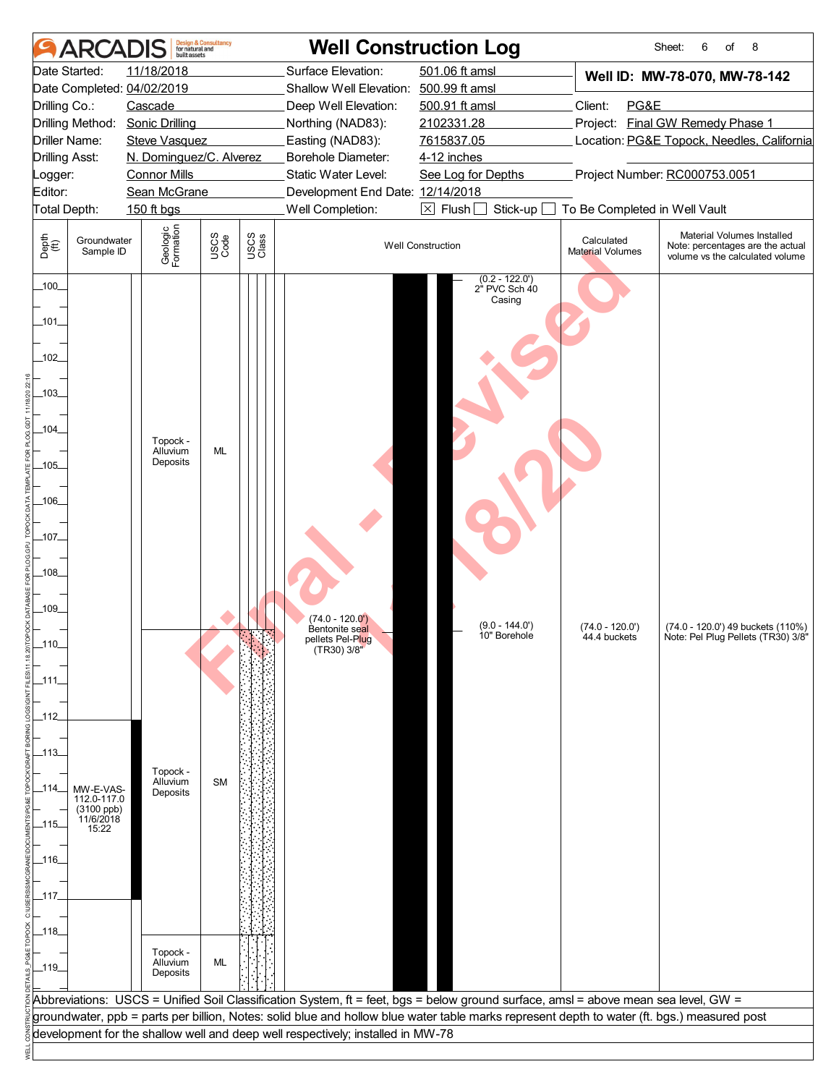| <b>ARCA</b>                                                  | built assets            | <b>Design &amp; Consultancy</b><br>for natural and |               | <b>Well Construction Log</b>                                                    |                                                                                                                                             |                                       | 6<br>8<br>Sheet:<br>of                                                                            |  |  |
|--------------------------------------------------------------|-------------------------|----------------------------------------------------|---------------|---------------------------------------------------------------------------------|---------------------------------------------------------------------------------------------------------------------------------------------|---------------------------------------|---------------------------------------------------------------------------------------------------|--|--|
| Date Started:<br>Date Completed: 04/02/2019                  | 11/18/2018              |                                                    |               | Surface Elevation:<br>Shallow Well Elevation:                                   | 501.06 ft amsl<br>500.99 ft amsl                                                                                                            |                                       | Well ID: MW-78-070, MW-78-142                                                                     |  |  |
| Drilling Co.:                                                | Cascade                 |                                                    |               | Deep Well Elevation:                                                            | 500.91 ft amsl                                                                                                                              | Client:<br>PG&E                       |                                                                                                   |  |  |
| Drilling Method: Sonic Drilling                              |                         |                                                    |               | Northing (NAD83):                                                               | 2102331.28                                                                                                                                  |                                       | Project: Final GW Remedy Phase 1                                                                  |  |  |
| Driller Name:                                                | <b>Steve Vasquez</b>    |                                                    |               | Easting (NAD83):                                                                | 7615837.05                                                                                                                                  |                                       | Location: PG&E Topock, Needles, California                                                        |  |  |
| <b>Drilling Asst:</b>                                        | N. Dominguez/C. Alverez |                                                    |               | Borehole Diameter:                                                              | 4-12 inches                                                                                                                                 |                                       |                                                                                                   |  |  |
| Logger:                                                      | <b>Connor Mills</b>     |                                                    |               | Static Water Level:                                                             | See Log for Depths                                                                                                                          |                                       | Project Number: RC000753.0051                                                                     |  |  |
| Editor:                                                      | Sean McGrane            |                                                    |               | Development End Date: 12/14/2018                                                |                                                                                                                                             |                                       |                                                                                                   |  |  |
| Total Depth:                                                 | 150 ft bgs              |                                                    |               | Well Completion:                                                                | $\boxtimes$ Flush $\Box$<br>Stick-up                                                                                                        | To Be Completed in Well Vault         |                                                                                                   |  |  |
| Depth<br>(ff)<br>Groundwater<br>Sample ID                    | Geologic<br>Formation   | USCS<br>Code                                       | USCS<br>Class |                                                                                 | <b>Well Construction</b>                                                                                                                    | Calculated<br><b>Material Volumes</b> | Material Volumes Installed<br>Note: percentages are the actual<br>volume vs the calculated volume |  |  |
| $-100$                                                       |                         |                                                    |               |                                                                                 | $(0.2 - 122.0)$<br>2" PVC Sch 40<br>Casing                                                                                                  |                                       |                                                                                                   |  |  |
| _101_                                                        |                         |                                                    |               |                                                                                 |                                                                                                                                             |                                       |                                                                                                   |  |  |
| $-102$                                                       |                         |                                                    |               |                                                                                 |                                                                                                                                             |                                       |                                                                                                   |  |  |
| $-103$                                                       |                         |                                                    |               |                                                                                 |                                                                                                                                             |                                       |                                                                                                   |  |  |
| $-104$                                                       | Topock -<br>Alluvium    | ML                                                 |               |                                                                                 |                                                                                                                                             |                                       |                                                                                                   |  |  |
| $-105-$                                                      | Deposits                |                                                    |               |                                                                                 |                                                                                                                                             |                                       |                                                                                                   |  |  |
| _106_                                                        |                         |                                                    |               |                                                                                 |                                                                                                                                             |                                       |                                                                                                   |  |  |
| _107_                                                        |                         |                                                    |               |                                                                                 |                                                                                                                                             |                                       |                                                                                                   |  |  |
| _108_                                                        |                         |                                                    |               |                                                                                 |                                                                                                                                             |                                       |                                                                                                   |  |  |
|                                                              |                         |                                                    |               |                                                                                 |                                                                                                                                             |                                       |                                                                                                   |  |  |
| $-109$                                                       |                         |                                                    |               | $(74.0 - 120.0')$<br>Bentonite seal                                             | $(9.0 - 144.0')$<br>10" Borehole                                                                                                            | $(74.0 - 120.0')$<br>44.4 buckets     | (74.0 - 120.0') 49 buckets (110%)<br>Note: Pel Plug Pellets (TR30) 3/8"                           |  |  |
| _110_                                                        |                         |                                                    |               | pellets Pel-P <mark>lu</mark> g<br>(TR30) 3/8"                                  |                                                                                                                                             |                                       |                                                                                                   |  |  |
| _111.                                                        |                         |                                                    |               |                                                                                 |                                                                                                                                             |                                       |                                                                                                   |  |  |
|                                                              |                         |                                                    |               |                                                                                 |                                                                                                                                             |                                       |                                                                                                   |  |  |
| _112_                                                        |                         |                                                    |               |                                                                                 |                                                                                                                                             |                                       |                                                                                                   |  |  |
| _113_                                                        |                         |                                                    |               |                                                                                 |                                                                                                                                             |                                       |                                                                                                   |  |  |
|                                                              | Topock -<br>Alluvium    | <b>SM</b>                                          |               |                                                                                 |                                                                                                                                             |                                       |                                                                                                   |  |  |
| _114_<br>MW-E-VAS-<br>112.0-117.0<br>(3100 ppb)<br>11/6/2018 | Deposits                |                                                    |               |                                                                                 |                                                                                                                                             |                                       |                                                                                                   |  |  |
| _115_<br>15:22                                               |                         |                                                    |               |                                                                                 |                                                                                                                                             |                                       |                                                                                                   |  |  |
| _116_                                                        |                         |                                                    |               |                                                                                 |                                                                                                                                             |                                       |                                                                                                   |  |  |
| _117_                                                        |                         |                                                    |               |                                                                                 |                                                                                                                                             |                                       |                                                                                                   |  |  |
|                                                              |                         |                                                    |               |                                                                                 |                                                                                                                                             |                                       |                                                                                                   |  |  |
| $-118$                                                       |                         |                                                    |               |                                                                                 |                                                                                                                                             |                                       |                                                                                                   |  |  |
|                                                              | Topock -                | ML                                                 |               |                                                                                 |                                                                                                                                             |                                       |                                                                                                   |  |  |
| $-119$                                                       | Alluvium<br>Deposits    |                                                    |               |                                                                                 |                                                                                                                                             |                                       |                                                                                                   |  |  |
|                                                              |                         |                                                    |               |                                                                                 | Abbreviations: USCS = Unified Soil Classification System, ft = feet, bgs = below ground surface, amsl = above mean sea level, GW =          |                                       |                                                                                                   |  |  |
|                                                              |                         |                                                    |               |                                                                                 | groundwater, ppb = parts per billion, Notes: solid blue and hollow blue water table marks represent depth to water (ft. bgs.) measured post |                                       |                                                                                                   |  |  |
|                                                              |                         |                                                    |               | development for the shallow well and deep well respectively; installed in MW-78 |                                                                                                                                             |                                       |                                                                                                   |  |  |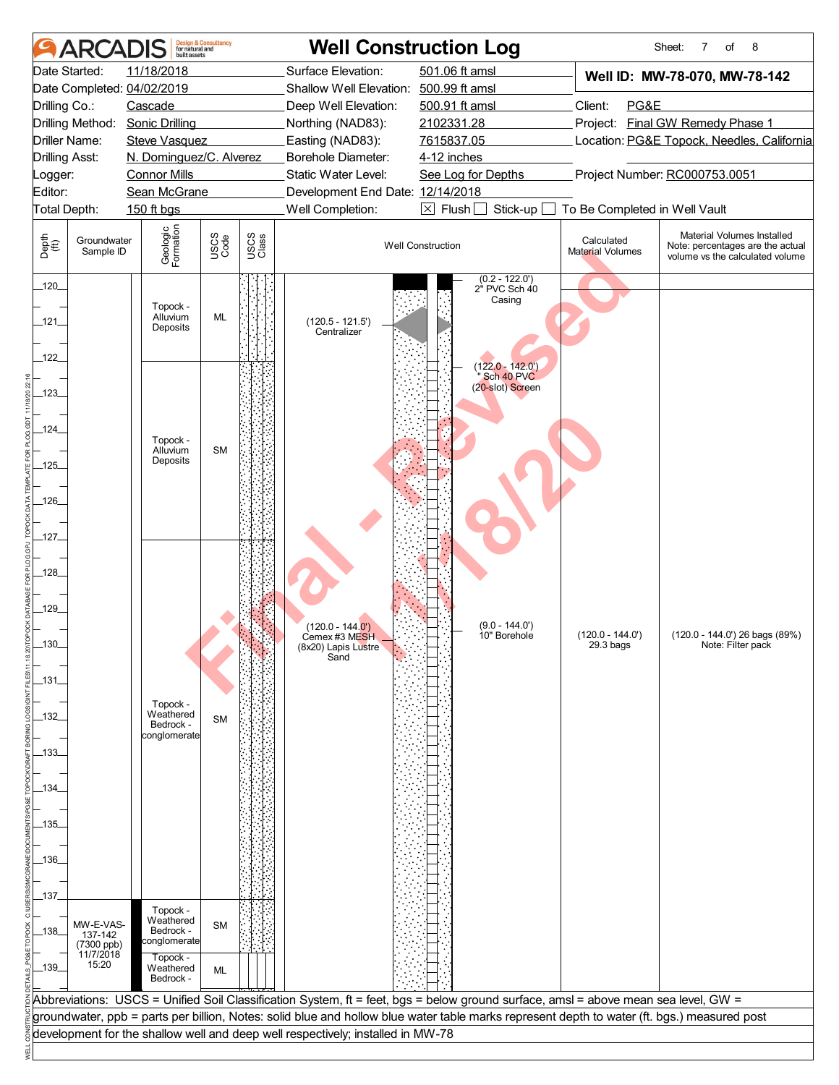|                                                                                                                                                                                 | <b>ARCA</b>                                | built assets                                       | <b>Design &amp; Consultancy</b><br>for natural and |               | <b>Well Construction Log</b>                                                    |                                                                                                                                             |                                | Sheet:<br>8<br>of<br>7                                                                            |  |  |  |  |
|---------------------------------------------------------------------------------------------------------------------------------------------------------------------------------|--------------------------------------------|----------------------------------------------------|----------------------------------------------------|---------------|---------------------------------------------------------------------------------|---------------------------------------------------------------------------------------------------------------------------------------------|--------------------------------|---------------------------------------------------------------------------------------------------|--|--|--|--|
|                                                                                                                                                                                 | Date Started:                              | 11/18/2018                                         |                                                    |               | Surface Elevation:                                                              | 501.06 ft amsl                                                                                                                              |                                | Well ID: MW-78-070, MW-78-142                                                                     |  |  |  |  |
|                                                                                                                                                                                 |                                            | Date Completed: 04/02/2019                         |                                                    |               | Shallow Well Elevation: 500.99 ft amsl                                          |                                                                                                                                             |                                |                                                                                                   |  |  |  |  |
| Drilling Co.:                                                                                                                                                                   |                                            | Cascade                                            |                                                    |               | Deep Well Elevation:                                                            | 500.91 ft amsl                                                                                                                              | PG&E<br>Client:                |                                                                                                   |  |  |  |  |
|                                                                                                                                                                                 |                                            | Drilling Method: Sonic Drilling                    |                                                    |               | Northing (NAD83):                                                               | 2102331.28                                                                                                                                  |                                | Project: Final GW Remedy Phase 1                                                                  |  |  |  |  |
|                                                                                                                                                                                 | Driller Name:                              | <b>Steve Vasquez</b>                               |                                                    |               | Easting (NAD83):                                                                | 7615837.05                                                                                                                                  |                                | Location: PG&E Topock, Needles, California                                                        |  |  |  |  |
| <b>Drilling Asst:</b>                                                                                                                                                           |                                            | N. Dominguez/C. Alverez                            |                                                    |               | Borehole Diameter:                                                              | 4-12 inches                                                                                                                                 |                                |                                                                                                   |  |  |  |  |
| Logger:                                                                                                                                                                         |                                            | <b>Connor Mills</b>                                |                                                    |               | Static Water Level:                                                             | See Log for Depths                                                                                                                          |                                | Project Number: RC000753.0051                                                                     |  |  |  |  |
| Sean McGrane<br>Editor:<br>Development End Date: 12/14/2018<br>Well Completion:<br>$\boxtimes$ Flush<br>Stick-up<br>Total Depth:<br>150 ft bgs<br>To Be Completed in Well Vault |                                            |                                                    |                                                    |               |                                                                                 |                                                                                                                                             |                                |                                                                                                   |  |  |  |  |
|                                                                                                                                                                                 |                                            |                                                    |                                                    |               |                                                                                 |                                                                                                                                             |                                |                                                                                                   |  |  |  |  |
| Depth<br>(ff)                                                                                                                                                                   | Groundwater<br>Sample ID                   | Geologic<br>Formation                              | USCS<br>Code                                       | USCS<br>Class |                                                                                 | <b>Well Construction</b>                                                                                                                    | Calculated<br>Material Volumes | Material Volumes Installed<br>Note: percentages are the actual<br>volume vs the calculated volume |  |  |  |  |
| 120                                                                                                                                                                             |                                            |                                                    |                                                    |               |                                                                                 | $(0.2 - 122.0')$<br>$2^{\dot{}}$ PVC Sch $40$                                                                                               |                                |                                                                                                   |  |  |  |  |
| $-121$                                                                                                                                                                          |                                            | Topock -<br>Alluvium<br>Deposits                   | ML                                                 |               | $(120.5 - 121.5')$<br>Centralizer                                               | Casing                                                                                                                                      |                                |                                                                                                   |  |  |  |  |
| $-122$                                                                                                                                                                          |                                            |                                                    |                                                    |               |                                                                                 | $(122.0 - 142.0)$<br>Sch 40 PVC                                                                                                             |                                |                                                                                                   |  |  |  |  |
| _123_                                                                                                                                                                           |                                            |                                                    |                                                    |               |                                                                                 | (20-slot) Screen                                                                                                                            |                                |                                                                                                   |  |  |  |  |
| $-124$                                                                                                                                                                          |                                            | Topock -<br>Alluvium                               | <b>SM</b>                                          |               |                                                                                 |                                                                                                                                             |                                |                                                                                                   |  |  |  |  |
| $-125$                                                                                                                                                                          |                                            | Deposits                                           |                                                    |               |                                                                                 |                                                                                                                                             |                                |                                                                                                   |  |  |  |  |
| $-126$                                                                                                                                                                          |                                            |                                                    |                                                    |               |                                                                                 |                                                                                                                                             |                                |                                                                                                   |  |  |  |  |
| _127_                                                                                                                                                                           |                                            |                                                    |                                                    |               |                                                                                 |                                                                                                                                             |                                |                                                                                                   |  |  |  |  |
| 128                                                                                                                                                                             |                                            |                                                    |                                                    |               |                                                                                 |                                                                                                                                             |                                |                                                                                                   |  |  |  |  |
| $-129$                                                                                                                                                                          |                                            |                                                    |                                                    |               | $(120.0 - 144.0')$                                                              | $(9.0 - 144.0')$                                                                                                                            | $(120.0 - 144.0')$             | (120.0 - 144.0') 26 bags (89%)                                                                    |  |  |  |  |
| _130_                                                                                                                                                                           |                                            |                                                    |                                                    |               | Cemex #3 MESH<br>(8x20) Lapis Lustre<br>Sand                                    | 10" Borehole                                                                                                                                | 29.3 bags                      | Note: Filter pack                                                                                 |  |  |  |  |
| _131_                                                                                                                                                                           |                                            |                                                    |                                                    |               |                                                                                 |                                                                                                                                             |                                |                                                                                                   |  |  |  |  |
| -132                                                                                                                                                                            |                                            | Topock -<br>Weathered<br>Bedrock -                 | <b>SM</b>                                          |               |                                                                                 |                                                                                                                                             |                                |                                                                                                   |  |  |  |  |
| $-133-$                                                                                                                                                                         |                                            | conglomerate                                       |                                                    |               |                                                                                 |                                                                                                                                             |                                |                                                                                                   |  |  |  |  |
| _134_                                                                                                                                                                           |                                            |                                                    |                                                    |               |                                                                                 |                                                                                                                                             |                                |                                                                                                   |  |  |  |  |
| $-135$                                                                                                                                                                          |                                            |                                                    |                                                    |               |                                                                                 |                                                                                                                                             |                                |                                                                                                   |  |  |  |  |
| _136_                                                                                                                                                                           |                                            |                                                    |                                                    |               |                                                                                 |                                                                                                                                             |                                |                                                                                                   |  |  |  |  |
| 137                                                                                                                                                                             |                                            |                                                    |                                                    |               |                                                                                 |                                                                                                                                             |                                |                                                                                                   |  |  |  |  |
| _138_                                                                                                                                                                           | MW-E-VAS-<br>137-142                       | Topock -<br>Weathered<br>Bedrock -<br>conglomerate | <b>SM</b>                                          |               |                                                                                 |                                                                                                                                             |                                |                                                                                                   |  |  |  |  |
| _139_                                                                                                                                                                           | $(7300 \text{ ppb})$<br>11/7/2018<br>15:20 | Topock -<br>Weathered<br>Bedrock -                 | ML                                                 |               |                                                                                 |                                                                                                                                             |                                |                                                                                                   |  |  |  |  |
|                                                                                                                                                                                 |                                            |                                                    |                                                    |               |                                                                                 | Abbreviations: USCS = Unified Soil Classification System, ft = feet, bgs = below ground surface, amsl = above mean sea level, GW =          |                                |                                                                                                   |  |  |  |  |
|                                                                                                                                                                                 |                                            |                                                    |                                                    |               |                                                                                 | groundwater, ppb = parts per billion, Notes: solid blue and hollow blue water table marks represent depth to water (ft. bgs.) measured post |                                |                                                                                                   |  |  |  |  |
|                                                                                                                                                                                 |                                            |                                                    |                                                    |               | development for the shallow well and deep well respectively; installed in MW-78 |                                                                                                                                             |                                |                                                                                                   |  |  |  |  |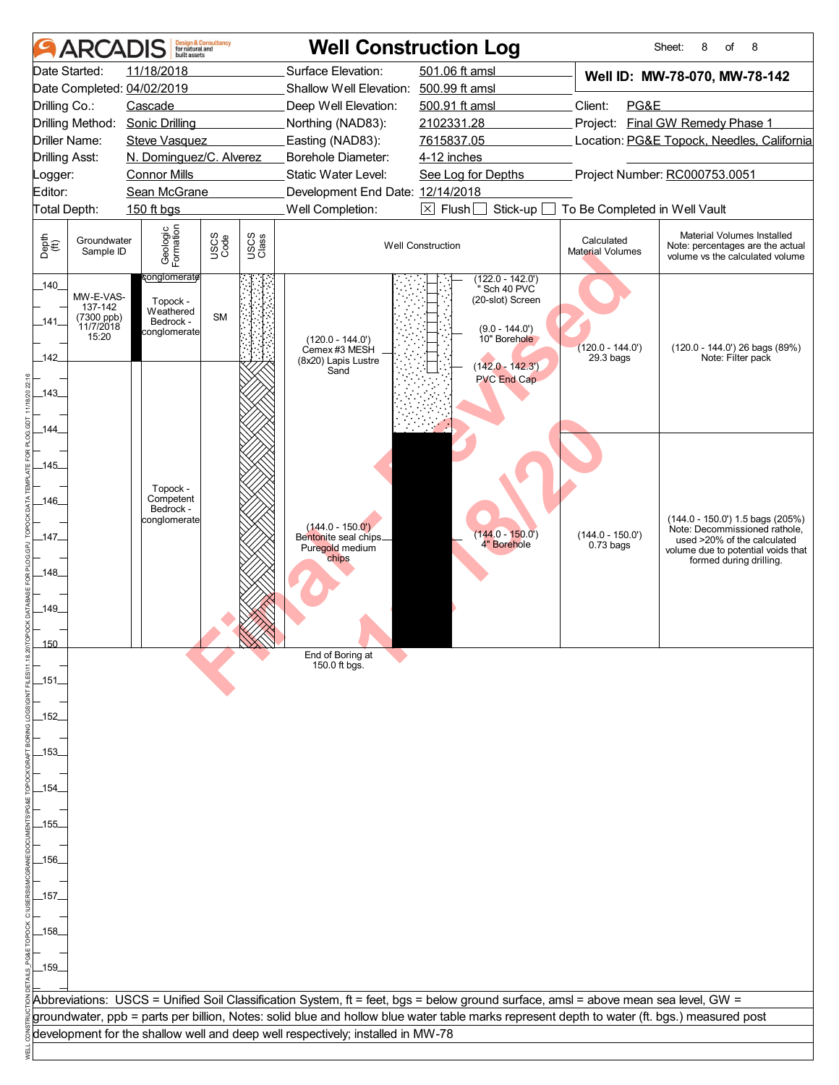|                       | <b>ARCADIS</b>                                           | built assets                                                                   | <b>Design &amp; Consultancy</b><br>for natural and |               |                                                                                 | <b>Well Construction Log</b>                                                                                                                |                                       | Sheet:<br>8<br>of<br>8                                                                                                                 |
|-----------------------|----------------------------------------------------------|--------------------------------------------------------------------------------|----------------------------------------------------|---------------|---------------------------------------------------------------------------------|---------------------------------------------------------------------------------------------------------------------------------------------|---------------------------------------|----------------------------------------------------------------------------------------------------------------------------------------|
|                       | Date Started:                                            | 11/18/2018                                                                     |                                                    |               | Surface Elevation:                                                              | 501.06 ft amsl                                                                                                                              |                                       | Well ID: MW-78-070, MW-78-142                                                                                                          |
|                       |                                                          | Date Completed: 04/02/2019                                                     |                                                    |               | Shallow Well Elevation: 500.99 ft amsl                                          |                                                                                                                                             |                                       |                                                                                                                                        |
| Drilling Co.:         |                                                          | Cascade                                                                        |                                                    |               | Deep Well Elevation:                                                            | 500.91 ft amsl                                                                                                                              | Client:<br>PG&E                       |                                                                                                                                        |
|                       |                                                          | Drilling Method: Sonic Drilling                                                |                                                    |               | Northing (NAD83):                                                               | 2102331.28                                                                                                                                  |                                       | Project: Final GW Remedy Phase 1                                                                                                       |
|                       | Driller Name:                                            | <b>Steve Vasquez</b>                                                           |                                                    |               | Easting (NAD83):                                                                | 7615837.05                                                                                                                                  |                                       | Location: PG&E Topock, Needles, California                                                                                             |
| <b>Drilling Asst:</b> |                                                          | N. Dominguez/C. Alverez                                                        |                                                    |               | Borehole Diameter:                                                              | 4-12 inches                                                                                                                                 |                                       |                                                                                                                                        |
| _ogger:               |                                                          | <b>Connor Mills</b>                                                            |                                                    |               | <b>Static Water Level:</b>                                                      | See Log for Depths                                                                                                                          |                                       | Project Number: RC000753.0051                                                                                                          |
| Editor:               |                                                          | Sean McGrane                                                                   |                                                    |               | Development End Date: 12/14/2018                                                |                                                                                                                                             |                                       |                                                                                                                                        |
| Total Depth:          |                                                          | 150 ft bgs                                                                     |                                                    |               | Well Completion:                                                                | $\boxtimes$ Flush<br>Stick-up                                                                                                               | To Be Completed in Well Vault         |                                                                                                                                        |
| Depth<br>(ff)         | Groundwater<br>Sample ID                                 | Geologic<br>Formation                                                          | USCS<br>Code                                       | USCS<br>Class |                                                                                 | <b>Well Construction</b>                                                                                                                    | Calculated<br><b>Material Volumes</b> | Material Volumes Installed<br>Note: percentages are the actual<br>volume vs the calculated volume                                      |
| 140<br>141<br>142     | MW-E-VAS-<br>137-142<br>(7300 ppb)<br>11/7/2018<br>15:20 | <del>c</del> onglomerate<br>Topock -<br>Weathered<br>Bedrock -<br>conglomerate | <b>SM</b>                                          |               | $(120.0 - 144.0')$<br>Cemex #3 MESH<br>(8x20) Lapis Lustre<br>Sand              | $(122.0 - 142.0')$<br>Sch 40 PVC<br>(20-slot) Screen<br>$(9.0 - 144.0')$<br>10" Borehole<br>$(142.0 - 142.3')$                              | $(120.0 - 144.0')$<br>$29.3$ bags     | (120.0 - 144.0') 26 bags (89%)<br>Note: Filter pack                                                                                    |
| 143<br>144            |                                                          |                                                                                |                                                    |               |                                                                                 | <b>PVC End Cap</b>                                                                                                                          |                                       |                                                                                                                                        |
| $-145$                |                                                          |                                                                                |                                                    |               |                                                                                 |                                                                                                                                             |                                       |                                                                                                                                        |
| .146                  |                                                          | Topock -<br>Competent<br>Bedrock -                                             |                                                    |               |                                                                                 |                                                                                                                                             |                                       |                                                                                                                                        |
| .147.                 |                                                          | conglomerate                                                                   |                                                    |               | $(144.0 - 150.0')$<br>Bentonite seal chips<br>Puregold medium<br>chips          | $(144.0 - 150.0)$<br>4" Borehole                                                                                                            | $(144.0 - 150.0')$<br>$0.73$ bags     | (144.0 - 150.0') 1.5 bags (205%)<br>Note: Decommissioned rathole,<br>used >20% of the calculated<br>volume due to potential voids that |
| .148.                 |                                                          |                                                                                |                                                    |               |                                                                                 |                                                                                                                                             |                                       | formed during drilling.                                                                                                                |
| .149                  |                                                          |                                                                                |                                                    |               |                                                                                 |                                                                                                                                             |                                       |                                                                                                                                        |
| <u> 150</u>           |                                                          |                                                                                |                                                    | $\mathbb{X}$  | End of Boring at                                                                |                                                                                                                                             |                                       |                                                                                                                                        |
| _151.                 |                                                          |                                                                                |                                                    |               | 150.0 ft bgs.                                                                   |                                                                                                                                             |                                       |                                                                                                                                        |
| -152                  |                                                          |                                                                                |                                                    |               |                                                                                 |                                                                                                                                             |                                       |                                                                                                                                        |
| _153_                 |                                                          |                                                                                |                                                    |               |                                                                                 |                                                                                                                                             |                                       |                                                                                                                                        |
| .154.                 |                                                          |                                                                                |                                                    |               |                                                                                 |                                                                                                                                             |                                       |                                                                                                                                        |
| .155.                 |                                                          |                                                                                |                                                    |               |                                                                                 |                                                                                                                                             |                                       |                                                                                                                                        |
|                       |                                                          |                                                                                |                                                    |               |                                                                                 |                                                                                                                                             |                                       |                                                                                                                                        |
| .156.                 |                                                          |                                                                                |                                                    |               |                                                                                 |                                                                                                                                             |                                       |                                                                                                                                        |
| _157_                 |                                                          |                                                                                |                                                    |               |                                                                                 |                                                                                                                                             |                                       |                                                                                                                                        |
| _158_                 |                                                          |                                                                                |                                                    |               |                                                                                 |                                                                                                                                             |                                       |                                                                                                                                        |
| $-159$                |                                                          |                                                                                |                                                    |               |                                                                                 |                                                                                                                                             |                                       |                                                                                                                                        |
|                       |                                                          |                                                                                |                                                    |               |                                                                                 | Abbreviations: USCS = Unified Soil Classification System, ft = feet, bgs = below ground surface, amsl = above mean sea level, GW =          |                                       |                                                                                                                                        |
|                       |                                                          |                                                                                |                                                    |               |                                                                                 | groundwater, ppb = parts per billion, Notes: solid blue and hollow blue water table marks represent depth to water (ft. bgs.) measured post |                                       |                                                                                                                                        |
|                       |                                                          |                                                                                |                                                    |               | development for the shallow well and deep well respectively; installed in MW-78 |                                                                                                                                             |                                       |                                                                                                                                        |
|                       |                                                          |                                                                                |                                                    |               |                                                                                 |                                                                                                                                             |                                       |                                                                                                                                        |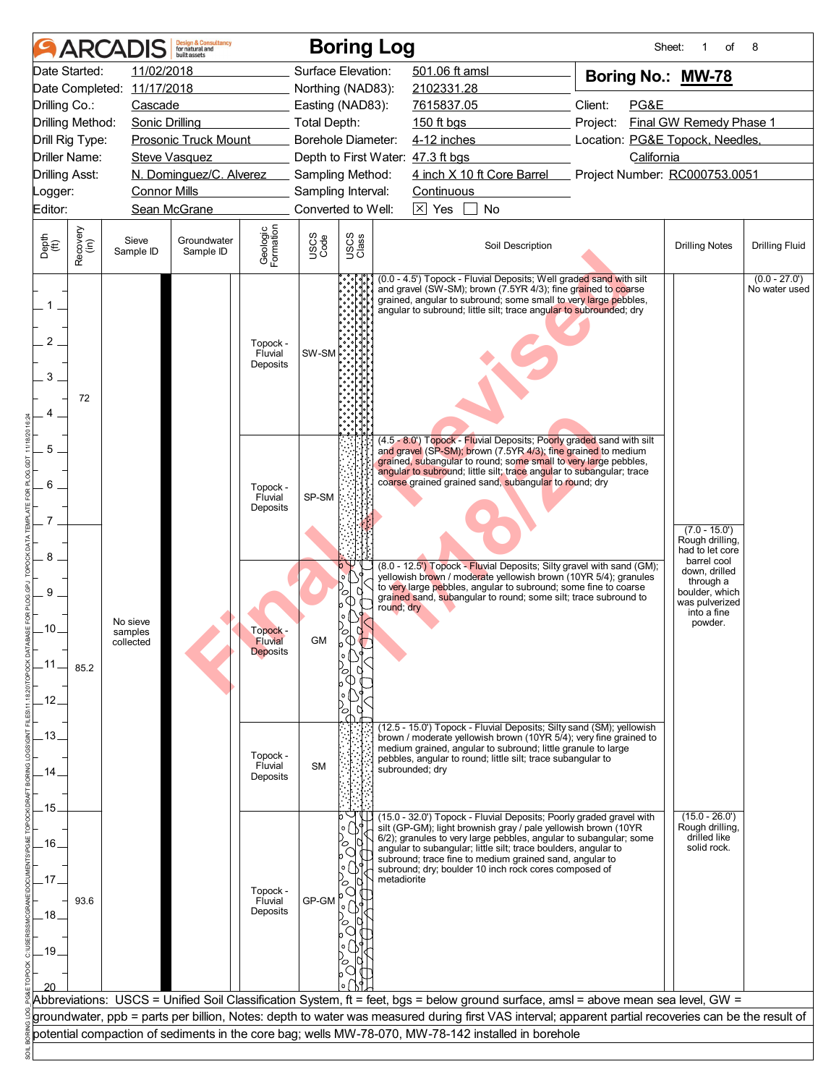|                                |                  | <b>ARCADIS</b>                   | <b>Design &amp; Consultancy</b><br>for natural and<br><b>built</b> assets |                                        |                    | <b>Boring Log</b>                      |             |                                   |                                                                                                                                                                                                                                                                                                                                                                                                                    |            | Sheet: | of                                                                                       | 8                                |
|--------------------------------|------------------|----------------------------------|---------------------------------------------------------------------------|----------------------------------------|--------------------|----------------------------------------|-------------|-----------------------------------|--------------------------------------------------------------------------------------------------------------------------------------------------------------------------------------------------------------------------------------------------------------------------------------------------------------------------------------------------------------------------------------------------------------------|------------|--------|------------------------------------------------------------------------------------------|----------------------------------|
|                                | Date Started:    | 11/02/2018                       |                                                                           |                                        | Surface Elevation: |                                        |             | 501.06 ft amsl                    |                                                                                                                                                                                                                                                                                                                                                                                                                    |            |        | Boring No.: MW-78                                                                        |                                  |
|                                |                  | Date Completed: 11/17/2018       |                                                                           |                                        | Northing (NAD83):  |                                        |             | 2102331.28                        |                                                                                                                                                                                                                                                                                                                                                                                                                    |            |        |                                                                                          |                                  |
| Drilling Co.:                  |                  | Cascade                          |                                                                           |                                        | Easting (NAD83):   |                                        |             | 7615837.05                        |                                                                                                                                                                                                                                                                                                                                                                                                                    | Client:    | PG&E   |                                                                                          |                                  |
| Drilling Method:               |                  | Sonic Drilling                   |                                                                           | Total Depth:                           |                    |                                        |             | 150 ft bgs                        |                                                                                                                                                                                                                                                                                                                                                                                                                    | Project:   |        | Final GW Remedy Phase 1                                                                  |                                  |
| Drill Rig Type:                |                  |                                  | <b>Prosonic Truck Mount</b>                                               |                                        | Borehole Diameter: |                                        |             |                                   | 4-12 inches                                                                                                                                                                                                                                                                                                                                                                                                        |            |        | Location: PG&E Topock, Needles,                                                          |                                  |
| Driller Name:                  |                  |                                  | <b>Steve Vasquez</b>                                                      |                                        |                    |                                        |             | Depth to First Water: 47.3 ft bgs |                                                                                                                                                                                                                                                                                                                                                                                                                    | California |        |                                                                                          |                                  |
| <b>Drilling Asst:</b>          |                  |                                  | N. Dominguez/C. Alverez                                                   |                                        |                    | Sampling Method:                       |             |                                   | 4 inch X 10 ft Core Barrel Project Number: RC000753.0051                                                                                                                                                                                                                                                                                                                                                           |            |        |                                                                                          |                                  |
| Logger:                        |                  | <b>Connor Mills</b>              |                                                                           |                                        | Sampling Interval: |                                        |             | Continuous                        |                                                                                                                                                                                                                                                                                                                                                                                                                    |            |        |                                                                                          |                                  |
| Editor:                        |                  |                                  | Sean McGrane                                                              |                                        | Converted to Well: |                                        |             | $\overline{\times}$ Yes           | <b>No</b>                                                                                                                                                                                                                                                                                                                                                                                                          |            |        |                                                                                          |                                  |
| Depth<br>(ft)                  | Recovery<br>(in) | Sieve<br>Sample ID               | Groundwater<br>Sample ID                                                  | Geologic<br>Formation                  | USCS<br>Code       | USCS<br>Class                          |             |                                   | Soil Description                                                                                                                                                                                                                                                                                                                                                                                                   |            |        | <b>Drilling Notes</b>                                                                    | <b>Drilling Fluid</b>            |
| $1_{-}$<br>$\overline{2}$<br>3 | 72               |                                  |                                                                           | Topock -<br>Fluvial<br>Deposits        | SW-SM              |                                        |             |                                   | (0.0 - 4.5') Topock - Fluvial Deposits; Well graded sand with silt<br>and gravel (SW-SM); brown (7.5YR 4/3); fine grained to coarse<br>grained, angular to subround; some small to very large pebbles,<br>angular to subround; little silt; trace angular to subrounded; dry                                                                                                                                       |            |        |                                                                                          | $(0.0 - 27.0')$<br>No water used |
| 5<br>6<br>8                    |                  |                                  |                                                                           | Topock -<br>Fluvial<br>Deposits        | SP-SM              |                                        |             |                                   | (4.5 - 8.0') Topock - Fluvial Deposits; Poorly graded sand with silt<br>and gravel (SP-SM); brown (7.5YR 4/3); fine grained to medium<br>grained, subangular to round; some small to very large pebbles,<br>angular to subround; little silt; trace angular to subangular; trace<br>coarse grained grained sand, subangular to round; dry<br>(8.0 - 12.5') Topock - Fluvial Deposits; Silty gravel with sand (GM); |            |        | $(7.0 - 15.0')$<br>Rough drilling,<br>had to let core<br>barrel cool                     |                                  |
| 9<br>.10.<br>.11.<br>.12.      | 85.2             | No sieve<br>samples<br>collected |                                                                           | Topock -<br><b>Fluvial</b><br>Deposits | GМ                 | $\mathbf{o}$<br>O<br>0 <br>Œ<br>ା<br>Œ | round; dry  |                                   | yellowish brown / moderate yellowish brown (10YR 5/4); granules<br>to very large pebbles, angular to subround; some fine to coarse<br>grained sand, subangular to round; some silt; trace subround to                                                                                                                                                                                                              |            |        | down, drilled<br>through a<br>boulder, which<br>was pulverized<br>into a fine<br>powder. |                                  |
| .13.<br>14<br>.15.             |                  |                                  |                                                                           | Topock -<br>Fluvial<br>Deposits        | <b>SM</b>          |                                        |             | subrounded; dry                   | (12.5 - 15.0') Topock - Fluvial Deposits; Silty sand (SM); yellowish<br>brown / moderate yellowish brown (10YR 5/4); very fine grained to<br>medium grained, angular to subround; little granule to large<br>pebbles, angular to round; little silt; trace subangular to                                                                                                                                           |            |        |                                                                                          |                                  |
| .16.<br>.17.<br>.18.           | 93.6             |                                  |                                                                           | Topock -<br>Fluvial<br>Deposits        | GP-GM              |                                        | metadiorite |                                   | (15.0 - 32.0') Topock - Fluvial Deposits; Poorly graded gravel with<br>silt (GP-GM); light brownish gray / pale yellowish brown (10YR<br>6/2); granules to very large pebbles, angular to subangular; some<br>angular to subangular; little silt; trace boulders, angular to<br>subround; trace fine to medium grained sand, angular to<br>subround; dry; boulder 10 inch rock cores composed of                   |            |        | $(15.0 - 26.0')$<br>Rough drilling,<br>drilled like<br>solid rock.                       |                                  |
| $-19.$                         |                  |                                  |                                                                           |                                        |                    |                                        |             |                                   | Abbreviations: USCS = Unified Soil Classification System, ft = feet, bgs = below ground surface, amsl = above mean sea level, GW =                                                                                                                                                                                                                                                                                 |            |        |                                                                                          |                                  |
|                                |                  |                                  |                                                                           |                                        |                    |                                        |             |                                   | groundwater, ppb = parts per billion, Notes: depth to water was measured during first VAS interval; apparent partial recoveries can be the result of                                                                                                                                                                                                                                                               |            |        |                                                                                          |                                  |
|                                |                  |                                  |                                                                           |                                        |                    |                                        |             |                                   | potential compaction of sediments in the core bag; wells MW-78-070, MW-78-142 installed in borehole                                                                                                                                                                                                                                                                                                                |            |        |                                                                                          |                                  |
|                                |                  |                                  |                                                                           |                                        |                    |                                        |             |                                   |                                                                                                                                                                                                                                                                                                                                                                                                                    |            |        |                                                                                          |                                  |
|                                |                  |                                  |                                                                           |                                        |                    |                                        |             |                                   |                                                                                                                                                                                                                                                                                                                                                                                                                    |            |        |                                                                                          |                                  |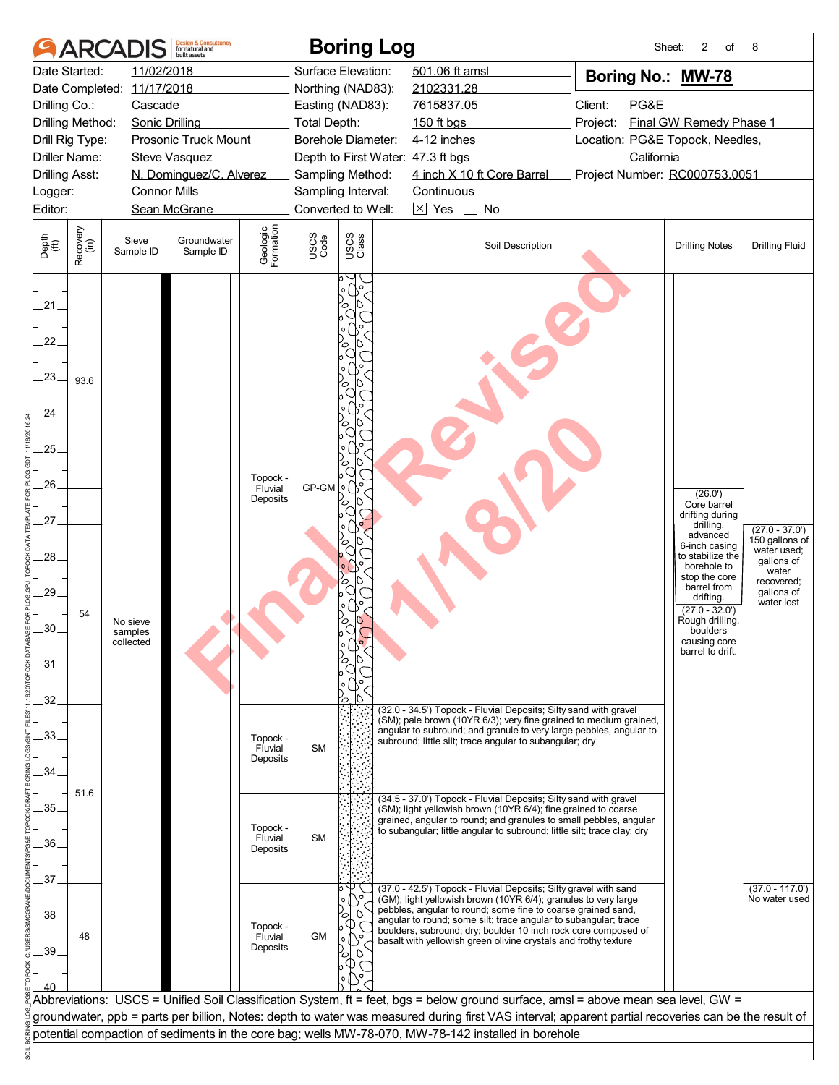|                                                                                               |                                                      | <b>ARCADIS</b>                                                                                      | <b>Design &amp; Consultancy</b><br>for natural and<br>built assets                             |                                 |              | <b>Boring Log</b>                                                                                                                                 |                                                                                                                                                                                                                                                                                                                                                                                                            | Sheet:                                                                                                                                                        | 2<br>of                                                                                                                                                                                                                                                    | 8                                                                                                                  |
|-----------------------------------------------------------------------------------------------|------------------------------------------------------|-----------------------------------------------------------------------------------------------------|------------------------------------------------------------------------------------------------|---------------------------------|--------------|---------------------------------------------------------------------------------------------------------------------------------------------------|------------------------------------------------------------------------------------------------------------------------------------------------------------------------------------------------------------------------------------------------------------------------------------------------------------------------------------------------------------------------------------------------------------|---------------------------------------------------------------------------------------------------------------------------------------------------------------|------------------------------------------------------------------------------------------------------------------------------------------------------------------------------------------------------------------------------------------------------------|--------------------------------------------------------------------------------------------------------------------|
| Date Started:<br>Drilling Co.:<br>Drilling Asst:<br>_ogger:<br>Editor:                        | Drilling Method:<br>Drill Rig Type:<br>Driller Name: | 11/02/2018<br>Date Completed: 11/17/2018<br>Cascade<br><b>Sonic Drilling</b><br><b>Connor Mills</b> | <b>Prosonic Truck Mount</b><br><b>Steve Vasquez</b><br>N. Dominguez/C. Alverez<br>Sean McGrane |                                 | Total Depth: | Surface Elevation:<br>Northing (NAD83):<br>Easting (NAD83):<br>Borehole Diameter:<br>Sampling Method:<br>Sampling Interval:<br>Converted to Well: | 501.06 ft amsl<br>2102331.28<br>7615837.05<br>150 ft bgs<br>4-12 inches<br>Depth to First Water: 47.3 ft bgs<br>4 inch X 10 ft Core Barrel<br>Continuous<br>$\boxtimes$ Yes<br>No                                                                                                                                                                                                                          | Boring No.: MW-78<br>Client:<br>PG&E<br>Final GW Remedy Phase 1<br>Project:<br>Location: PG&E Topock, Needles,<br>California<br>Project Number: RC000753.0051 |                                                                                                                                                                                                                                                            |                                                                                                                    |
| Depth<br>(ft)                                                                                 | Recovery<br>(in)                                     | Sieve<br>Sample ID                                                                                  | Groundwater<br>Sample ID                                                                       | Geologic<br>Formation           | USCS<br>Code | USCS<br>Class                                                                                                                                     | Soil Description                                                                                                                                                                                                                                                                                                                                                                                           |                                                                                                                                                               | <b>Drilling Notes</b>                                                                                                                                                                                                                                      | <b>Drilling Fluid</b>                                                                                              |
| .21.<br>$22^{1}$<br>23.<br>.24.<br>.25.<br>.26.<br>27<br>.28.<br>$.29-$<br>.30.<br>.31<br>32. | 93.6<br>54                                           | No sieve<br>samples<br>collected                                                                    |                                                                                                | Topock -<br>Fluvial<br>Deposits | GP-GM        | O<br>O<br>۰O<br>Ο                                                                                                                                 |                                                                                                                                                                                                                                                                                                                                                                                                            |                                                                                                                                                               | (26.0')<br>Core barrel<br>drifting during<br>drilling,<br>advanced<br>6-inch casing<br>to stabilize the<br>borehole to<br>stop the core<br>barrel from<br>drifting.<br>$(27.0 - 32.0')$<br>Rough drilling,<br>boulders<br>causing core<br>barrel to drift. | $(27.0 - 37.0')$<br>150 gallons of<br>water used;<br>gallons of<br>water<br>recovered;<br>gallons of<br>water lost |
| .33.<br>.34.                                                                                  |                                                      |                                                                                                     |                                                                                                | Topock -<br>Fluvial<br>Deposits | <b>SM</b>    |                                                                                                                                                   | (32.0 - 34.5') Topock - Fluvial Deposits; Silty sand with gravel<br>(SM); pale brown (10YR 6/3); very fine grained to medium grained,<br>angular to subround; and granule to very large pebbles, angular to<br>subround; little silt; trace angular to subangular; dry                                                                                                                                     |                                                                                                                                                               |                                                                                                                                                                                                                                                            |                                                                                                                    |
| .35.<br>.36.                                                                                  | 51.6                                                 |                                                                                                     |                                                                                                | Topock -<br>Fluvial<br>Deposits | <b>SM</b>    |                                                                                                                                                   | (34.5 - 37.0') Topock - Fluvial Deposits; Silty sand with gravel<br>(SM); light yellowish brown (10YR 6/4); fine grained to coarse<br>grained, angular to round; and granules to small pebbles, angular<br>to subangular; little angular to subround; little silt; trace clay; dry                                                                                                                         |                                                                                                                                                               |                                                                                                                                                                                                                                                            |                                                                                                                    |
| .37.<br>.38<br>.39.                                                                           | 48                                                   |                                                                                                     |                                                                                                | Topock -<br>Fluvial<br>Deposits | <b>GM</b>    |                                                                                                                                                   | (37.0 - 42.5') Topock - Fluvial Deposits; Silty gravel with sand<br>(GM); light yellowish brown (10YR 6/4); granules to very large<br>pebbles, angular to round; some fine to coarse grained sand,<br>angular to round; some silt; trace angular to subangular; trace<br>boulders, subround; dry; boulder 10 inch rock core composed of<br>basalt with yellowish green olivine crystals and frothy texture |                                                                                                                                                               |                                                                                                                                                                                                                                                            | $(37.0 - 117.0')$<br>No water used                                                                                 |
|                                                                                               |                                                      |                                                                                                     |                                                                                                |                                 |              |                                                                                                                                                   | Abbreviations: USCS = Unified Soil Classification System, ft = feet, bgs = below ground surface, amsl = above mean sea level, GW =<br>groundwater, ppb = parts per billion, Notes: depth to water was measured during first VAS interval; apparent partial recoveries can be the result of                                                                                                                 |                                                                                                                                                               |                                                                                                                                                                                                                                                            |                                                                                                                    |
|                                                                                               |                                                      |                                                                                                     |                                                                                                |                                 |              |                                                                                                                                                   | potential compaction of sediments in the core bag; wells MW-78-070, MW-78-142 installed in borehole                                                                                                                                                                                                                                                                                                        |                                                                                                                                                               |                                                                                                                                                                                                                                                            |                                                                                                                    |
|                                                                                               |                                                      |                                                                                                     |                                                                                                |                                 |              |                                                                                                                                                   |                                                                                                                                                                                                                                                                                                                                                                                                            |                                                                                                                                                               |                                                                                                                                                                                                                                                            |                                                                                                                    |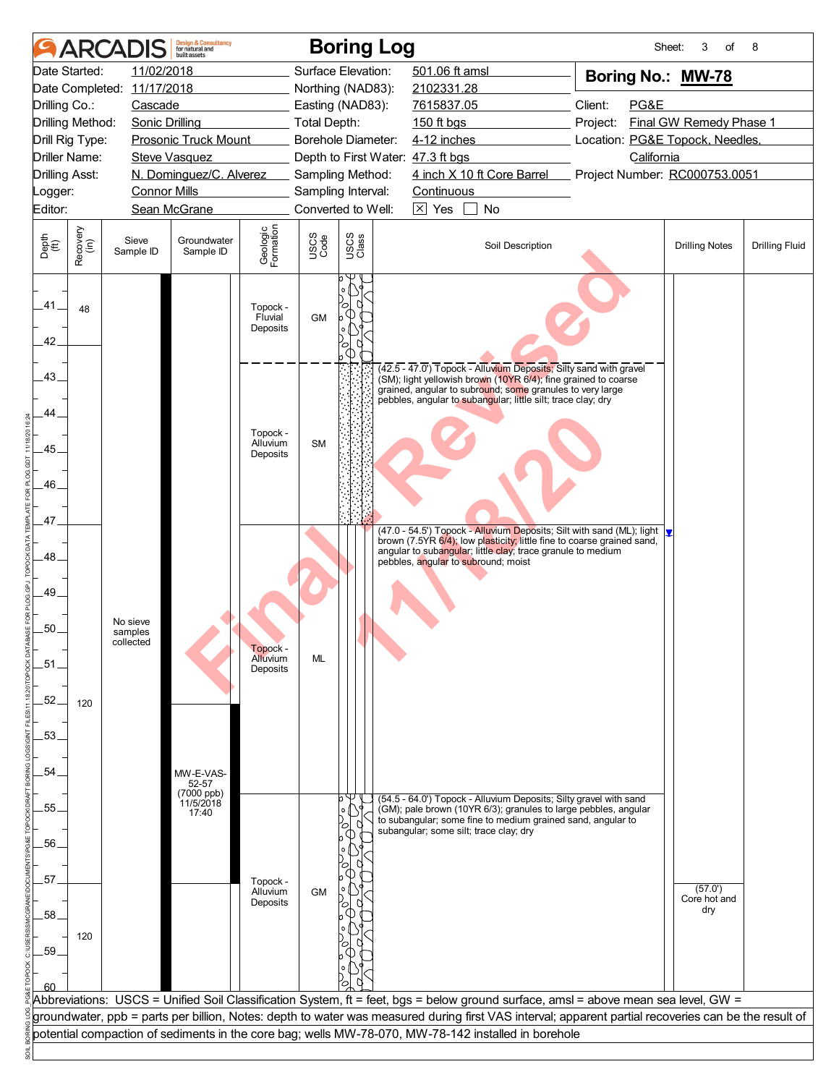|                       | <b>ARCA</b>      |                            | <b>Design &amp; Consultancy</b><br>for natural and<br>huilt assets |                                  |                     | <b>Boring Log</b> |                                                                                                                                                                                                                                                                  | Sheet:                          | 3<br>of                 | 8                     |
|-----------------------|------------------|----------------------------|--------------------------------------------------------------------|----------------------------------|---------------------|-------------------|------------------------------------------------------------------------------------------------------------------------------------------------------------------------------------------------------------------------------------------------------------------|---------------------------------|-------------------------|-----------------------|
| Date Started:         |                  | 11/02/2018                 |                                                                    |                                  | Surface Elevation:  |                   | 501.06 ft amsl                                                                                                                                                                                                                                                   | Boring No.: MW-78               |                         |                       |
|                       |                  | Date Completed: 11/17/2018 |                                                                    |                                  | Northing (NAD83):   |                   | 2102331.28                                                                                                                                                                                                                                                       |                                 |                         |                       |
| Drilling Co.:         |                  | Cascade                    |                                                                    |                                  | Easting (NAD83):    |                   | 7615837.05                                                                                                                                                                                                                                                       | Client:<br>PG&E                 |                         |                       |
| Drilling Method:      |                  | <b>Sonic Drilling</b>      |                                                                    |                                  | <b>Total Depth:</b> |                   | 150 ft bgs                                                                                                                                                                                                                                                       | Project:                        | Final GW Remedy Phase 1 |                       |
| Drill Rig Type:       |                  |                            | Prosonic Truck Mount                                               |                                  | Borehole Diameter:  |                   | 4-12 inches                                                                                                                                                                                                                                                      | Location: PG&E Topock, Needles, |                         |                       |
| <b>Driller Name:</b>  |                  |                            | <b>Steve Vasquez</b>                                               |                                  |                     |                   | Depth to First Water: 47.3 ft bgs                                                                                                                                                                                                                                | California                      |                         |                       |
| <b>Drilling Asst:</b> |                  |                            | N. Dominguez/C. Alverez                                            |                                  | Sampling Method:    |                   | 4 inch X 10 ft Core Barrel                                                                                                                                                                                                                                       | Project Number: RC000753.0051   |                         |                       |
| Logger:               |                  | <b>Connor Mills</b>        |                                                                    |                                  | Sampling Interval:  |                   | Continuous                                                                                                                                                                                                                                                       |                                 |                         |                       |
| Editor:               |                  |                            | Sean McGrane                                                       |                                  | Converted to Well:  |                   | $\overline{\times}$ Yes<br>No                                                                                                                                                                                                                                    |                                 |                         |                       |
| Depth<br>(ft)         | Recovery<br>(in) | Sieve<br>Sample ID         | Groundwater<br>Sample ID                                           | Geologic<br>Formation            | USCS<br>Code        | USCS<br>Class     | Soil Description                                                                                                                                                                                                                                                 |                                 | <b>Drilling Notes</b>   | <b>Drilling Fluid</b> |
| .41.<br>42.           | 48               |                            |                                                                    | Topock -<br>Fluvial<br>Deposits  | <b>GM</b>           |                   |                                                                                                                                                                                                                                                                  |                                 |                         |                       |
| 43.<br>44             |                  |                            |                                                                    | Topock -                         |                     |                   | (42.5 - 47.0') Topock - Alluvium Deposits; Silty sand with gravel<br>(SM); light yellowish brown (10YR 6/4); fine grained to coarse<br>grained, angular to subround; some granules to very large<br>pebbles, angular to subangular; little silt; trace clay; dry |                                 |                         |                       |
| .45.                  |                  |                            |                                                                    | Alluvium<br>Deposits             | <b>SM</b>           |                   |                                                                                                                                                                                                                                                                  |                                 |                         |                       |
| 46.                   |                  |                            |                                                                    |                                  |                     |                   |                                                                                                                                                                                                                                                                  |                                 |                         |                       |
| 47.                   |                  |                            |                                                                    |                                  |                     |                   | (47.0 - 54.5') Topock - Alluvium Deposits; Silt with sand (ML); light                                                                                                                                                                                            |                                 |                         |                       |
| 48                    |                  |                            |                                                                    |                                  |                     |                   | brown (7.5YR 6/4); low plasticity; little fine to coarse grained sand,<br>angular to subangular; little clay; trace granule to medium<br>pebbles, angular to subround; moist                                                                                     |                                 |                         |                       |
| 49.                   |                  |                            |                                                                    |                                  |                     |                   |                                                                                                                                                                                                                                                                  |                                 |                         |                       |
| 50.                   |                  | No sieve<br>samples        |                                                                    |                                  |                     |                   |                                                                                                                                                                                                                                                                  |                                 |                         |                       |
| .51.                  |                  | collected                  |                                                                    | Topock -<br>Alluvium<br>Deposits | ML                  |                   |                                                                                                                                                                                                                                                                  |                                 |                         |                       |
| $-52.$                | 120              |                            |                                                                    |                                  |                     |                   |                                                                                                                                                                                                                                                                  |                                 |                         |                       |
| .53.                  |                  |                            |                                                                    |                                  |                     |                   |                                                                                                                                                                                                                                                                  |                                 |                         |                       |
| 54                    |                  |                            | MW-E-VAS-                                                          |                                  |                     |                   |                                                                                                                                                                                                                                                                  |                                 |                         |                       |
|                       |                  |                            | 52-57                                                              |                                  |                     |                   |                                                                                                                                                                                                                                                                  |                                 |                         |                       |
| 55.                   |                  |                            | (7000 ppb)<br>11/5/2018                                            |                                  |                     | bΨ<br>۰o          | (54.5 - 64.0') Topock - Alluvium Deposits; Silty gravel with sand                                                                                                                                                                                                |                                 |                         |                       |
|                       |                  |                            | 17:40                                                              |                                  |                     | О                 | (GM); pale brown (10YR 6/3); granules to large pebbles, angular<br>to subangular; some fine to medium grained sand, angular to                                                                                                                                   |                                 |                         |                       |
| .56.                  |                  |                            |                                                                    |                                  |                     |                   | subangular; some silt; trace clay; dry                                                                                                                                                                                                                           |                                 |                         |                       |
|                       |                  |                            |                                                                    |                                  |                     |                   |                                                                                                                                                                                                                                                                  |                                 |                         |                       |
| .57.                  |                  |                            |                                                                    | Topock -                         |                     |                   |                                                                                                                                                                                                                                                                  |                                 |                         |                       |
|                       |                  |                            |                                                                    | Alluvium                         | <b>GM</b>           |                   |                                                                                                                                                                                                                                                                  |                                 | (57.0')<br>Core hot and |                       |
| .58                   |                  |                            |                                                                    | Deposits                         |                     |                   |                                                                                                                                                                                                                                                                  |                                 | dry                     |                       |
|                       | 120              |                            |                                                                    |                                  |                     |                   |                                                                                                                                                                                                                                                                  |                                 |                         |                       |
| .59.                  |                  |                            |                                                                    |                                  |                     |                   |                                                                                                                                                                                                                                                                  |                                 |                         |                       |
|                       |                  |                            |                                                                    |                                  |                     |                   |                                                                                                                                                                                                                                                                  |                                 |                         |                       |
| 60                    |                  |                            |                                                                    |                                  |                     |                   |                                                                                                                                                                                                                                                                  |                                 |                         |                       |
|                       |                  |                            |                                                                    |                                  |                     |                   | Abbreviations:  USCS = Unified Soil Classification System, ft = feet, bgs = below ground surface, amsl = above mean sea level, GW =                                                                                                                              |                                 |                         |                       |
|                       |                  |                            |                                                                    |                                  |                     |                   | groundwater, ppb = parts per billion, Notes: depth to water was measured during first VAS interval; apparent partial recoveries can be the result of                                                                                                             |                                 |                         |                       |
|                       |                  |                            |                                                                    |                                  |                     |                   | potential compaction of sediments in the core bag; wells MW-78-070, MW-78-142 installed in borehole                                                                                                                                                              |                                 |                         |                       |
|                       |                  |                            |                                                                    |                                  |                     |                   |                                                                                                                                                                                                                                                                  |                                 |                         |                       |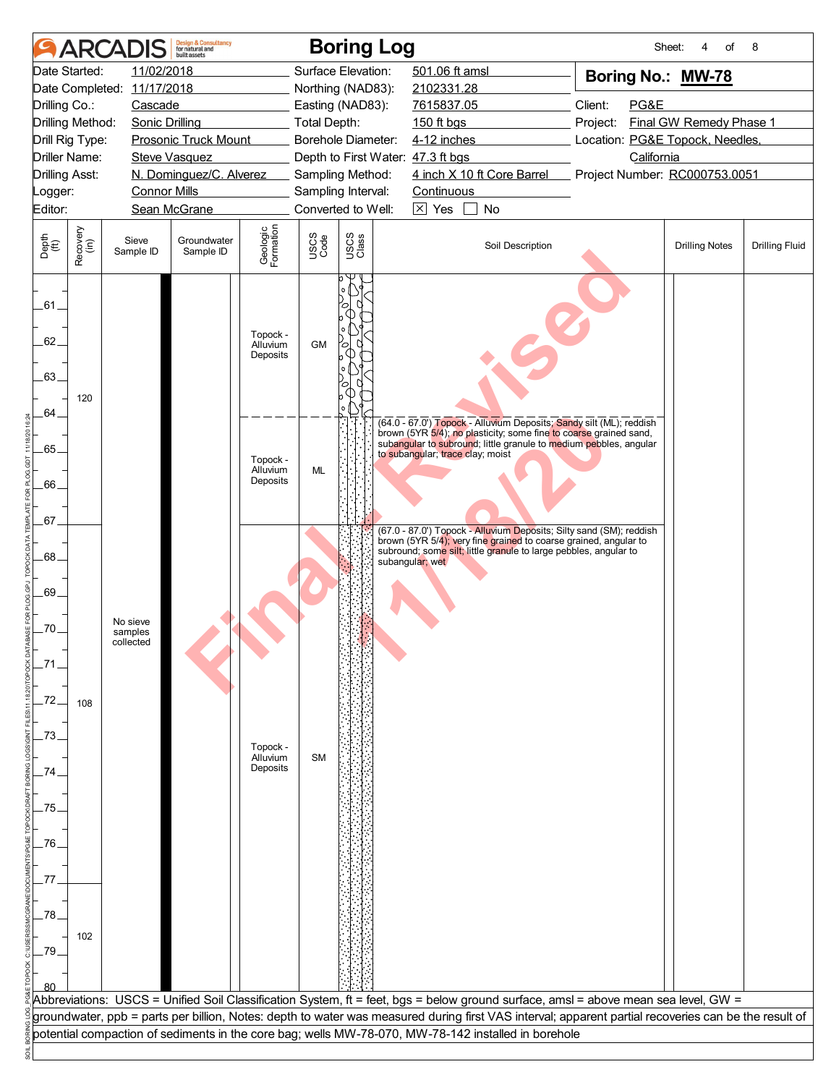|                                              |                  | <b>ARCADIS</b>             | <b>Design &amp; Consultancy</b><br>for natural and<br><b>built</b> assets |                                  |                     | <b>Boring Log</b>                        |                                  |                                                                                                                                                      | Sheet:                          | of<br>4                 | 8                     |
|----------------------------------------------|------------------|----------------------------|---------------------------------------------------------------------------|----------------------------------|---------------------|------------------------------------------|----------------------------------|------------------------------------------------------------------------------------------------------------------------------------------------------|---------------------------------|-------------------------|-----------------------|
| Date Started:                                |                  | 11/02/2018                 |                                                                           |                                  |                     | Surface Elevation:                       | 501.06 ft amsl                   |                                                                                                                                                      | Boring No.: MW-78               |                         |                       |
|                                              |                  | Date Completed: 11/17/2018 |                                                                           |                                  |                     | Northing (NAD83):                        | 2102331.28                       |                                                                                                                                                      |                                 |                         |                       |
| Drilling Co.:                                |                  | Cascade                    |                                                                           |                                  |                     | Easting (NAD83):                         | 7615837.05                       |                                                                                                                                                      | Client:<br>PG&E                 |                         |                       |
| Drilling Method:                             |                  | <b>Sonic Drilling</b>      |                                                                           |                                  | <b>Total Depth:</b> |                                          | 150 ft bgs                       |                                                                                                                                                      | Project:                        | Final GW Remedy Phase 1 |                       |
| Drill Rig Type:                              |                  |                            | Prosonic Truck Mount                                                      |                                  |                     | <b>Borehole Diameter:</b>                | 4-12 inches                      |                                                                                                                                                      | Location: PG&E Topock, Needles, |                         |                       |
| <b>Driller Name:</b>                         |                  |                            | <b>Steve Vasquez</b>                                                      |                                  |                     | Depth to First Water: 47.3 ft bgs        |                                  |                                                                                                                                                      | California                      |                         |                       |
| <b>Drilling Asst:</b>                        |                  |                            | N. Dominguez/C. Alverez                                                   |                                  |                     | Sampling Method:                         |                                  | 4 inch X 10 ft Core Barrel                                                                                                                           | Project Number: RC000753.0051   |                         |                       |
| Logger:<br>Editor:                           |                  | <b>Connor Mills</b>        | Sean McGrane                                                              |                                  |                     | Sampling Interval:<br>Converted to Well: | Continuous<br>$\boxtimes$ Yes    | No                                                                                                                                                   |                                 |                         |                       |
|                                              |                  |                            |                                                                           |                                  |                     |                                          |                                  |                                                                                                                                                      |                                 |                         |                       |
| Depth<br>$\overset{\text{fft}}{(\text{ft})}$ | Recovery<br>(in) | Sieve<br>Sample ID         | Groundwater<br>Sample ID                                                  | Geologic<br>Formation            | USCS<br>Code        | USCS<br>Class                            |                                  | Soil Description                                                                                                                                     |                                 | <b>Drilling Notes</b>   | <b>Drilling Fluid</b> |
| .61<br>62.<br>.63.                           | 120              |                            |                                                                           | Topock -<br>Alluvium<br>Deposits | <b>GM</b>           | О                                        |                                  |                                                                                                                                                      |                                 |                         |                       |
| .64.                                         |                  |                            |                                                                           |                                  |                     |                                          |                                  |                                                                                                                                                      |                                 |                         |                       |
|                                              |                  |                            |                                                                           |                                  |                     |                                          |                                  | (64.0 - 67.0') Topock - Alluvium Deposits; Sandy silt (ML); reddish<br>brown (5YR 5/4); no plasticity; some fine to coarse grained sand,             |                                 |                         |                       |
| 65.                                          |                  |                            |                                                                           | Topock -                         |                     |                                          | to subangular; trace clay; moist | subangular to subround; little granule to medium pebbles, angular                                                                                    |                                 |                         |                       |
|                                              |                  |                            |                                                                           | Alluvium                         | ML                  |                                          |                                  |                                                                                                                                                      |                                 |                         |                       |
| .66                                          |                  |                            |                                                                           | Deposits                         |                     |                                          |                                  |                                                                                                                                                      |                                 |                         |                       |
|                                              |                  |                            |                                                                           |                                  |                     |                                          |                                  |                                                                                                                                                      |                                 |                         |                       |
| 67.                                          |                  |                            |                                                                           |                                  |                     |                                          |                                  | (67.0 - 87.0') Topock - Alluvium Deposits; Silty sand (SM); reddish                                                                                  |                                 |                         |                       |
| .68.                                         |                  |                            |                                                                           |                                  |                     |                                          |                                  | brown (5YR 5/4); very fine grained to coarse grained, angular to<br>subround; some silt; little granule to large pebbles, angular to                 |                                 |                         |                       |
|                                              |                  |                            |                                                                           |                                  |                     |                                          | subangular; wet                  |                                                                                                                                                      |                                 |                         |                       |
| .69.                                         |                  |                            |                                                                           |                                  |                     |                                          |                                  |                                                                                                                                                      |                                 |                         |                       |
|                                              |                  |                            |                                                                           |                                  |                     |                                          |                                  |                                                                                                                                                      |                                 |                         |                       |
| .70.                                         |                  | No sieve<br>samples        |                                                                           |                                  |                     |                                          |                                  |                                                                                                                                                      |                                 |                         |                       |
|                                              |                  | collected                  |                                                                           |                                  |                     |                                          |                                  |                                                                                                                                                      |                                 |                         |                       |
| -71                                          |                  |                            |                                                                           |                                  |                     |                                          |                                  |                                                                                                                                                      |                                 |                         |                       |
|                                              |                  |                            |                                                                           |                                  |                     |                                          |                                  |                                                                                                                                                      |                                 |                         |                       |
| $-72.$                                       | 108              |                            |                                                                           |                                  |                     |                                          |                                  |                                                                                                                                                      |                                 |                         |                       |
|                                              |                  |                            |                                                                           |                                  |                     |                                          |                                  |                                                                                                                                                      |                                 |                         |                       |
| .73.                                         |                  |                            |                                                                           | Topock -                         |                     |                                          |                                  |                                                                                                                                                      |                                 |                         |                       |
|                                              |                  |                            |                                                                           | Alluvium<br>Deposits             | <b>SM</b>           |                                          |                                  |                                                                                                                                                      |                                 |                         |                       |
| 74                                           |                  |                            |                                                                           |                                  |                     |                                          |                                  |                                                                                                                                                      |                                 |                         |                       |
| .75.                                         |                  |                            |                                                                           |                                  |                     |                                          |                                  |                                                                                                                                                      |                                 |                         |                       |
|                                              |                  |                            |                                                                           |                                  |                     |                                          |                                  |                                                                                                                                                      |                                 |                         |                       |
| .76.                                         |                  |                            |                                                                           |                                  |                     |                                          |                                  |                                                                                                                                                      |                                 |                         |                       |
|                                              |                  |                            |                                                                           |                                  |                     |                                          |                                  |                                                                                                                                                      |                                 |                         |                       |
| .77                                          |                  |                            |                                                                           |                                  |                     |                                          |                                  |                                                                                                                                                      |                                 |                         |                       |
|                                              |                  |                            |                                                                           |                                  |                     |                                          |                                  |                                                                                                                                                      |                                 |                         |                       |
| .78                                          |                  |                            |                                                                           |                                  |                     |                                          |                                  |                                                                                                                                                      |                                 |                         |                       |
|                                              | 102              |                            |                                                                           |                                  |                     |                                          |                                  |                                                                                                                                                      |                                 |                         |                       |
| .79.                                         |                  |                            |                                                                           |                                  |                     |                                          |                                  |                                                                                                                                                      |                                 |                         |                       |
|                                              |                  |                            |                                                                           |                                  |                     |                                          |                                  |                                                                                                                                                      |                                 |                         |                       |
|                                              |                  |                            |                                                                           |                                  |                     |                                          |                                  | Abbreviations: USCS = Unified Soil Classification System, ft = feet, bgs = below ground surface, amsl = above mean sea level, GW =                   |                                 |                         |                       |
|                                              |                  |                            |                                                                           |                                  |                     |                                          |                                  | groundwater, ppb = parts per billion, Notes: depth to water was measured during first VAS interval; apparent partial recoveries can be the result of |                                 |                         |                       |
|                                              |                  |                            |                                                                           |                                  |                     |                                          |                                  | potential compaction of sediments in the core bag; wells MW-78-070, MW-78-142 installed in borehole                                                  |                                 |                         |                       |
|                                              |                  |                            |                                                                           |                                  |                     |                                          |                                  |                                                                                                                                                      |                                 |                         |                       |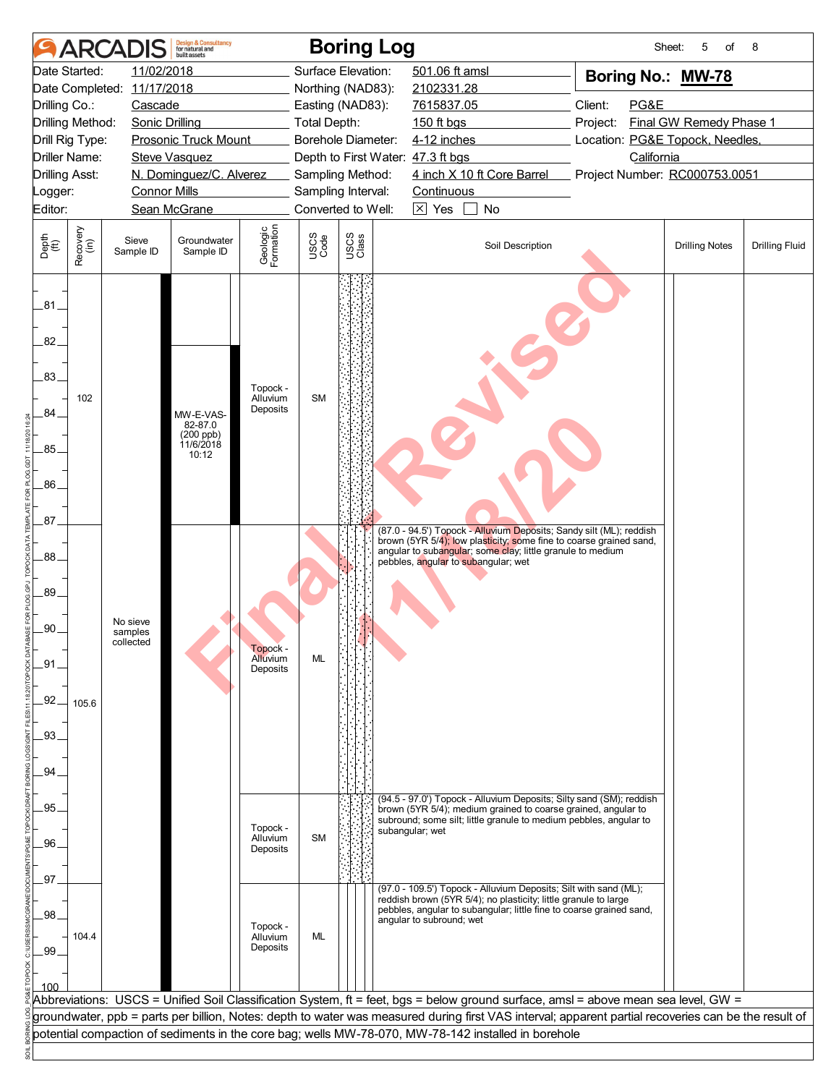|                          | <b>ARCA</b>                                      |                                  | <b>Design &amp; Consultancy</b><br>for natural and<br>built assets |                                  |                     | <b>Boring Log</b>                      |                                                                                                                                                                                                                                                                                                                                                                                                   | Sheet:                          | 5<br>of                 | 8                     |  |  |  |
|--------------------------|--------------------------------------------------|----------------------------------|--------------------------------------------------------------------|----------------------------------|---------------------|----------------------------------------|---------------------------------------------------------------------------------------------------------------------------------------------------------------------------------------------------------------------------------------------------------------------------------------------------------------------------------------------------------------------------------------------------|---------------------------------|-------------------------|-----------------------|--|--|--|
|                          | Date Started:                                    | 11/02/2018                       |                                                                    |                                  |                     | Surface Elevation:                     | 501.06 ft amsl                                                                                                                                                                                                                                                                                                                                                                                    | Boring No.: MW-78               |                         |                       |  |  |  |
|                          |                                                  | Date Completed: 11/17/2018       |                                                                    |                                  |                     | Northing (NAD83):                      | 2102331.28                                                                                                                                                                                                                                                                                                                                                                                        |                                 |                         |                       |  |  |  |
| Drilling Co.:            |                                                  | Cascade                          |                                                                    |                                  |                     | Easting (NAD83):                       | 7615837.05                                                                                                                                                                                                                                                                                                                                                                                        | Client:<br>PG&E                 |                         |                       |  |  |  |
|                          | Drilling Method:                                 | <b>Sonic Drilling</b>            |                                                                    |                                  | <b>Total Depth:</b> |                                        | 150 ft bgs                                                                                                                                                                                                                                                                                                                                                                                        | Project:                        | Final GW Remedy Phase 1 |                       |  |  |  |
|                          | Drill Rig Type:                                  |                                  | <b>Prosonic Truck Mount</b>                                        |                                  |                     | Borehole Diameter:                     | 4-12 inches                                                                                                                                                                                                                                                                                                                                                                                       | Location: PG&E Topock, Needles, |                         |                       |  |  |  |
|                          | <b>Driller Name:</b>                             |                                  | <b>Steve Vasquez</b>                                               |                                  |                     |                                        | Depth to First Water: 47.3 ft bgs                                                                                                                                                                                                                                                                                                                                                                 | California                      |                         |                       |  |  |  |
|                          | N. Dominguez/C. Alverez<br><b>Drilling Asst:</b> |                                  |                                                                    |                                  |                     | Sampling Method:<br>Sampling Interval: | 4 inch X 10 ft Core Barrel<br>Continuous                                                                                                                                                                                                                                                                                                                                                          | Project Number: RC000753.0051   |                         |                       |  |  |  |
| Editor:                  | <b>Connor Mills</b><br>Logger:<br>Sean McGrane   |                                  |                                                                    |                                  |                     | Converted to Well:                     | $\overline{\times}$ Yes<br>No                                                                                                                                                                                                                                                                                                                                                                     |                                 |                         |                       |  |  |  |
|                          |                                                  |                                  |                                                                    |                                  |                     |                                        |                                                                                                                                                                                                                                                                                                                                                                                                   |                                 |                         |                       |  |  |  |
| Depth<br>(ft)            | Recovery<br>(in)                                 | Sieve<br>Sample ID               | Groundwater<br>Sample ID                                           | Geologic<br>Formation            | USCS<br>Code        | USCS<br>Class                          | Soil Description                                                                                                                                                                                                                                                                                                                                                                                  |                                 | <b>Drilling Notes</b>   | <b>Drilling Fluid</b> |  |  |  |
| .81<br>82.<br>.83.<br>84 | 102                                              |                                  | Topock -<br>Alluvium<br>Deposits<br>MW-E-VAS-                      |                                  | <b>SM</b>           |                                        |                                                                                                                                                                                                                                                                                                                                                                                                   |                                 |                         |                       |  |  |  |
| .85.                     |                                                  |                                  | 82-87.0<br>(200 ppb)<br>11/6/2018<br>10:12                         |                                  |                     |                                        |                                                                                                                                                                                                                                                                                                                                                                                                   |                                 |                         |                       |  |  |  |
| 86.                      |                                                  |                                  |                                                                    |                                  |                     |                                        |                                                                                                                                                                                                                                                                                                                                                                                                   |                                 |                         |                       |  |  |  |
| 87 <sub>1</sub>          |                                                  |                                  |                                                                    |                                  |                     |                                        |                                                                                                                                                                                                                                                                                                                                                                                                   |                                 |                         |                       |  |  |  |
| .88.                     |                                                  |                                  |                                                                    |                                  |                     |                                        | (87.0 - 94.5') Topock - Alluvium Deposits; Sandy silt (ML); reddish<br>brown (5YR 5/4); low plasticity, some fine to coarse grained sand,<br>angular to subangular; some clay; little granule to medium<br>pebbles, angular to subangular; wet                                                                                                                                                    |                                 |                         |                       |  |  |  |
| 89.                      |                                                  |                                  |                                                                    |                                  |                     |                                        |                                                                                                                                                                                                                                                                                                                                                                                                   |                                 |                         |                       |  |  |  |
| .90.                     |                                                  | No sieve<br>samples<br>collected |                                                                    | Topock -<br>Alluvium<br>Deposits |                     |                                        |                                                                                                                                                                                                                                                                                                                                                                                                   |                                 |                         |                       |  |  |  |
| _91.<br>.92.             |                                                  |                                  |                                                                    |                                  | ML                  |                                        |                                                                                                                                                                                                                                                                                                                                                                                                   |                                 |                         |                       |  |  |  |
| .93.                     | 105.6                                            |                                  |                                                                    |                                  |                     |                                        |                                                                                                                                                                                                                                                                                                                                                                                                   |                                 |                         |                       |  |  |  |
| .94                      |                                                  |                                  |                                                                    |                                  |                     |                                        |                                                                                                                                                                                                                                                                                                                                                                                                   |                                 |                         |                       |  |  |  |
| 95.                      |                                                  |                                  |                                                                    |                                  |                     |                                        | (94.5 - 97.0') Topock - Alluvium Deposits; Silty sand (SM); reddish<br>brown (5YR 5/4); medium grained to coarse grained, angular to<br>subround; some silt; little granule to medium pebbles, angular to                                                                                                                                                                                         |                                 |                         |                       |  |  |  |
| .96.                     |                                                  |                                  |                                                                    | Topock -<br>Alluvium<br>Deposits | <b>SM</b>           |                                        | subangular; wet                                                                                                                                                                                                                                                                                                                                                                                   |                                 |                         |                       |  |  |  |
| 97                       |                                                  |                                  |                                                                    |                                  |                     |                                        |                                                                                                                                                                                                                                                                                                                                                                                                   |                                 |                         |                       |  |  |  |
| .98.<br>.99              | 104.4                                            |                                  |                                                                    | Topock -<br>Alluvium<br>Deposits | ML                  |                                        | (97.0 - 109.5') Topock - Alluvium Deposits; Silt with sand (ML);<br>reddish brown (5YR 5/4); no plasticity; little granule to large<br>pebbles, angular to subangular; little fine to coarse grained sand,<br>angular to subround; wet                                                                                                                                                            |                                 |                         |                       |  |  |  |
| 100                      |                                                  |                                  |                                                                    |                                  |                     |                                        | Abbreviations: USCS = Unified Soil Classification System, ft = feet, bgs = below ground surface, amsl = above mean sea level, GW =<br>groundwater, ppb = parts per billion, Notes: depth to water was measured during first VAS interval; apparent partial recoveries can be the result of<br>potential compaction of sediments in the core bag; wells MW-78-070, MW-78-142 installed in borehole |                                 |                         |                       |  |  |  |
|                          |                                                  |                                  |                                                                    |                                  |                     |                                        |                                                                                                                                                                                                                                                                                                                                                                                                   |                                 |                         |                       |  |  |  |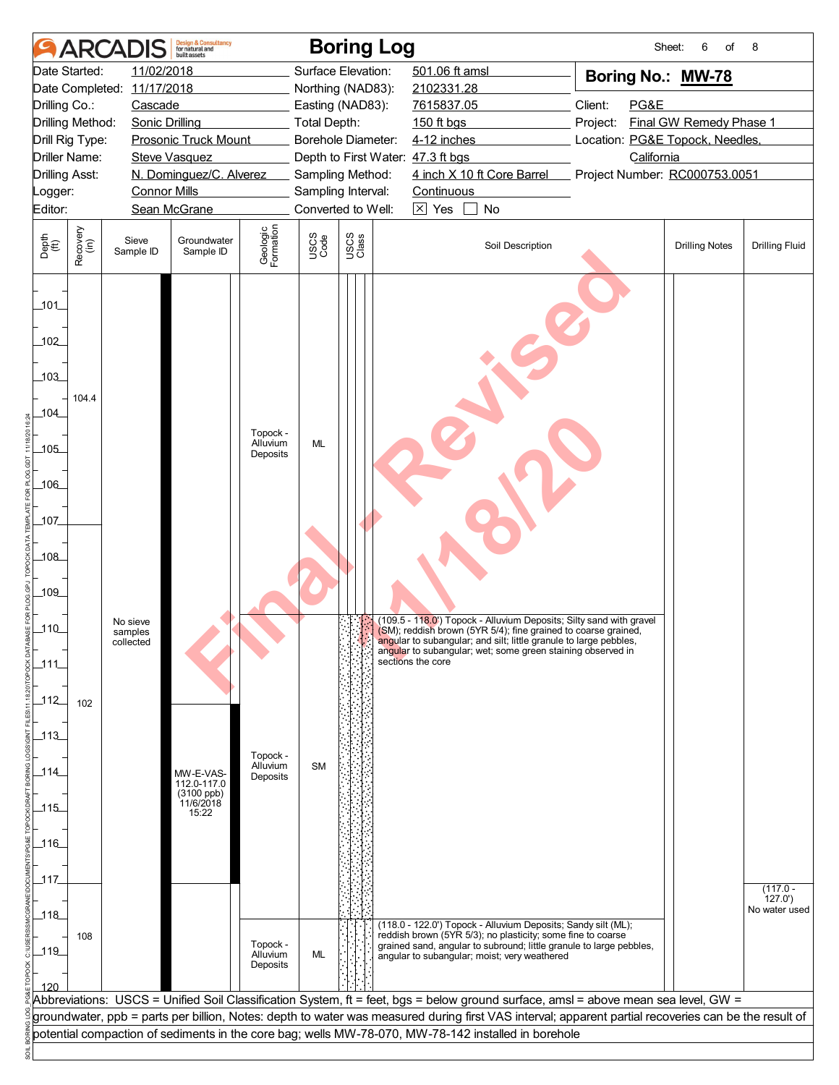|                                                  | <b>ARCA</b>      |                       | <b>Design &amp; Consultancy</b><br>for natural and<br>huilt assets |                       |              | <b>Boring Log</b>                 |                                                                                                                                                      | Sheet:                          | 6<br>of                 | 8                       |
|--------------------------------------------------|------------------|-----------------------|--------------------------------------------------------------------|-----------------------|--------------|-----------------------------------|------------------------------------------------------------------------------------------------------------------------------------------------------|---------------------------------|-------------------------|-------------------------|
|                                                  | Date Started:    | 11/02/2018            |                                                                    |                       |              | Surface Elevation:                | 501.06 ft amsl                                                                                                                                       | Boring No.: MW-78               |                         |                         |
| Date Completed: 11/17/2018                       |                  |                       |                                                                    |                       |              | Northing (NAD83):                 | 2102331.28                                                                                                                                           |                                 |                         |                         |
| Drilling Co.:                                    |                  | Cascade               |                                                                    |                       |              | Easting (NAD83):                  | 7615837.05                                                                                                                                           | Client:<br>PG&E                 |                         |                         |
|                                                  | Drilling Method: | <b>Sonic Drilling</b> |                                                                    |                       | Total Depth: |                                   | 150 ft bgs                                                                                                                                           | Project:                        | Final GW Remedy Phase 1 |                         |
|                                                  | Drill Rig Type:  |                       | <b>Prosonic Truck Mount</b>                                        |                       |              | Borehole Diameter:                | 4-12 inches                                                                                                                                          | Location: PG&E Topock, Needles, |                         |                         |
|                                                  | Driller Name:    |                       | <b>Steve Vasquez</b>                                               |                       |              | Depth to First Water: 47.3 ft bgs |                                                                                                                                                      | California                      |                         |                         |
| N. Dominguez/C. Alverez<br><b>Drilling Asst:</b> |                  |                       |                                                                    |                       |              | Sampling Method:                  | 4 inch X 10 ft Core Barrel                                                                                                                           | Project Number: RC000753.0051   |                         |                         |
| <b>Connor Mills</b><br>Logger:                   |                  |                       |                                                                    |                       |              | Sampling Interval:                | Continuous                                                                                                                                           |                                 |                         |                         |
| Editor:                                          |                  |                       | Sean McGrane                                                       |                       |              | Converted to Well:                | $\boxed{\times}$ Yes<br>No                                                                                                                           |                                 |                         |                         |
| Depth<br>$\widetilde{f(t)}$                      | Recovery<br>(in) | Sieve<br>Sample ID    | Groundwater<br>Sample ID                                           | Geologic<br>Formation | USCS<br>Code | USCS<br>Class                     | Soil Description                                                                                                                                     |                                 | <b>Drilling Notes</b>   | <b>Drilling Fluid</b>   |
| 101<br>102                                       |                  |                       |                                                                    |                       |              |                                   |                                                                                                                                                      |                                 |                         |                         |
| 103                                              |                  |                       |                                                                    |                       |              |                                   |                                                                                                                                                      |                                 |                         |                         |
| 104                                              | 104.4            |                       |                                                                    |                       |              |                                   |                                                                                                                                                      |                                 |                         |                         |
| $-105$                                           |                  |                       |                                                                    | Topock -<br>Alluvium  | ML           |                                   |                                                                                                                                                      |                                 |                         |                         |
|                                                  |                  |                       |                                                                    | Deposits              |              |                                   |                                                                                                                                                      |                                 |                         |                         |
| $-106$                                           |                  |                       |                                                                    |                       |              |                                   |                                                                                                                                                      |                                 |                         |                         |
| 107                                              |                  |                       |                                                                    |                       |              |                                   |                                                                                                                                                      |                                 |                         |                         |
| 108                                              |                  |                       |                                                                    |                       |              |                                   |                                                                                                                                                      |                                 |                         |                         |
| 109                                              |                  |                       |                                                                    |                       |              |                                   |                                                                                                                                                      |                                 |                         |                         |
|                                                  |                  |                       |                                                                    |                       |              |                                   | (109.5 - 118.0') Topock - Alluvium Deposits; Silty sand with gravel                                                                                  |                                 |                         |                         |
| $-110$                                           |                  | No sieve<br>samples   |                                                                    |                       |              |                                   | (SM); reddish brown (5YR 5/4); fine grained to coarse grained,                                                                                       |                                 |                         |                         |
|                                                  |                  | collected             |                                                                    |                       |              |                                   | angular to subangular; and silt; little granule to large pebbles,<br>angular to subangular; wet; some green staining observed in                     |                                 |                         |                         |
| $-111$                                           |                  |                       |                                                                    |                       |              |                                   | sections the core                                                                                                                                    |                                 |                         |                         |
|                                                  |                  |                       |                                                                    |                       |              |                                   |                                                                                                                                                      |                                 |                         |                         |
| $\_112$                                          | 102              |                       |                                                                    |                       |              |                                   |                                                                                                                                                      |                                 |                         |                         |
|                                                  |                  |                       |                                                                    |                       |              |                                   |                                                                                                                                                      |                                 |                         |                         |
| $\_113$                                          |                  |                       |                                                                    |                       |              |                                   |                                                                                                                                                      |                                 |                         |                         |
|                                                  |                  |                       |                                                                    | Topock -              |              |                                   |                                                                                                                                                      |                                 |                         |                         |
| $-114$                                           |                  |                       | MW-E-VAS-<br>112.0-117.0                                           | Alluvium<br>Deposits  | <b>SM</b>    |                                   |                                                                                                                                                      |                                 |                         |                         |
|                                                  |                  |                       | (3100 ppb)<br>11/6/2018                                            |                       |              |                                   |                                                                                                                                                      |                                 |                         |                         |
| $115$                                            |                  |                       | 15:22                                                              |                       |              |                                   |                                                                                                                                                      |                                 |                         |                         |
|                                                  |                  |                       |                                                                    |                       |              |                                   |                                                                                                                                                      |                                 |                         |                         |
| $-116$                                           |                  |                       |                                                                    |                       |              |                                   |                                                                                                                                                      |                                 |                         |                         |
|                                                  |                  |                       |                                                                    |                       |              |                                   |                                                                                                                                                      |                                 |                         |                         |
| $-117$                                           |                  |                       |                                                                    |                       |              |                                   |                                                                                                                                                      |                                 |                         | $(117.0 -$              |
|                                                  |                  |                       |                                                                    |                       |              |                                   |                                                                                                                                                      |                                 |                         | 127.0'<br>No water used |
| 118                                              |                  |                       |                                                                    |                       |              |                                   | (118.0 - 122.0') Topock - Alluvium Deposits; Sandy silt (ML);                                                                                        |                                 |                         |                         |
|                                                  | 108              |                       |                                                                    | Topock -              |              |                                   | reddish brown (5YR 5/3); no plasticity; some fine to coarse<br>grained sand, angular to subround; little granule to large pebbles,                   |                                 |                         |                         |
| $\_119$                                          |                  |                       |                                                                    | Alluvium<br>Deposits  | ML           |                                   | angular to subangular; moist; very weathered                                                                                                         |                                 |                         |                         |
| 120                                              |                  |                       |                                                                    |                       |              |                                   |                                                                                                                                                      |                                 |                         |                         |
|                                                  |                  |                       |                                                                    |                       |              |                                   | Abbreviations: USCS = Unified Soil Classification System, ft = feet, bgs = below ground surface, amsl = above mean sea level, GW =                   |                                 |                         |                         |
|                                                  |                  |                       |                                                                    |                       |              |                                   | groundwater, ppb = parts per billion, Notes: depth to water was measured during first VAS interval; apparent partial recoveries can be the result of |                                 |                         |                         |
|                                                  |                  |                       |                                                                    |                       |              |                                   | potential compaction of sediments in the core bag; wells MW-78-070, MW-78-142 installed in borehole                                                  |                                 |                         |                         |
|                                                  |                  |                       |                                                                    |                       |              |                                   |                                                                                                                                                      |                                 |                         |                         |
|                                                  |                  |                       |                                                                    |                       |              |                                   |                                                                                                                                                      |                                 |                         |                         |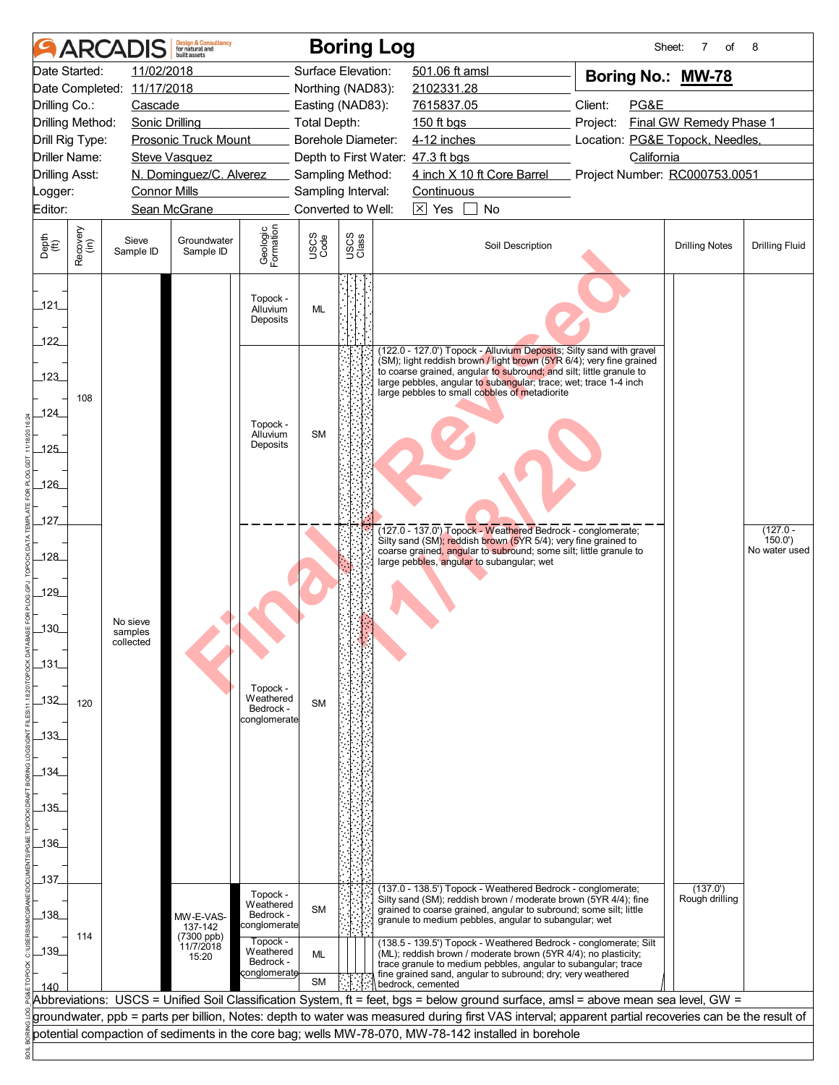|                                                           | <b>ARCA</b>      |                                  | <b>Design &amp; Consultancy</b><br>for natural and<br>huilt assets |                                  |              | <b>Boring Log</b>                        |                                                                                                                                                         | Sheet:                          | 7<br>of                 | 8                     |  |  |
|-----------------------------------------------------------|------------------|----------------------------------|--------------------------------------------------------------------|----------------------------------|--------------|------------------------------------------|---------------------------------------------------------------------------------------------------------------------------------------------------------|---------------------------------|-------------------------|-----------------------|--|--|
|                                                           | Date Started:    | 11/02/2018                       |                                                                    |                                  |              | Surface Elevation:                       | 501.06 ft amsl                                                                                                                                          | Boring No.: MW-78               |                         |                       |  |  |
|                                                           |                  | Date Completed: 11/17/2018       |                                                                    |                                  |              | Northing (NAD83):                        | 2102331.28                                                                                                                                              |                                 |                         |                       |  |  |
| Drilling Co.:                                             |                  | Cascade                          |                                                                    |                                  |              | Easting (NAD83):                         | 7615837.05                                                                                                                                              | Client:<br>PG&E                 |                         |                       |  |  |
| Drilling Method:                                          |                  | <b>Sonic Drilling</b>            |                                                                    |                                  | Total Depth: |                                          | 150 ft bgs                                                                                                                                              | Project:                        | Final GW Remedy Phase 1 |                       |  |  |
| Drill Rig Type:                                           |                  |                                  | <b>Prosonic Truck Mount</b>                                        |                                  |              | Borehole Diameter:                       | 4-12 inches                                                                                                                                             | Location: PG&E Topock, Needles, |                         |                       |  |  |
| <b>Driller Name:</b>                                      |                  |                                  | <b>Steve Vasquez</b>                                               |                                  |              |                                          | Depth to First Water: 47.3 ft bgs                                                                                                                       | California                      |                         |                       |  |  |
| N. Dominguez/C. Alverez<br><b>Drilling Asst:</b>          |                  |                                  |                                                                    |                                  |              | Sampling Method:                         | 4 inch X 10 ft Core Barrel                                                                                                                              | Project Number: RC000753.0051   |                         |                       |  |  |
| <b>Connor Mills</b><br>Logger:<br>Editor:<br>Sean McGrane |                  |                                  |                                                                    |                                  |              | Sampling Interval:<br>Converted to Well: | Continuous<br>$\boxtimes$ Yes<br><b>No</b>                                                                                                              |                                 |                         |                       |  |  |
|                                                           |                  |                                  |                                                                    |                                  |              |                                          |                                                                                                                                                         |                                 |                         |                       |  |  |
| Depth<br>$\widetilde{f(t)}$                               | Recovery<br>(in) | Sieve<br>Sample ID               | Groundwater<br>Sample ID                                           | Geologic<br>Formation            | USCS<br>Code | USCS<br>Class                            | Soil Description                                                                                                                                        |                                 | <b>Drilling Notes</b>   | <b>Drilling Fluid</b> |  |  |
| 121                                                       |                  |                                  |                                                                    | Topock -<br>Alluvium<br>Deposits | ML           |                                          |                                                                                                                                                         |                                 |                         |                       |  |  |
| 122                                                       |                  |                                  |                                                                    |                                  |              |                                          | (122.0 - 127.0') Topock - Alluvium Deposits; Silty sand with gravel                                                                                     |                                 |                         |                       |  |  |
|                                                           |                  |                                  |                                                                    |                                  |              |                                          | (SM); light reddish brown / light brown (5YR 6/4); very fine grained<br>to coarse grained, angular to subround; and silt; little granule to             |                                 |                         |                       |  |  |
| 123                                                       |                  |                                  |                                                                    |                                  |              |                                          | large pebbles, angular to subangular; trace; wet; trace 1-4 inch<br>large pebbles to small cobbles of metadiorite                                       |                                 |                         |                       |  |  |
| 124_                                                      | 108              |                                  |                                                                    |                                  |              |                                          |                                                                                                                                                         |                                 |                         |                       |  |  |
|                                                           |                  |                                  |                                                                    | Topock -                         |              |                                          |                                                                                                                                                         |                                 |                         |                       |  |  |
| $-125$                                                    |                  |                                  |                                                                    | Alluvium<br>Deposits             | <b>SM</b>    |                                          |                                                                                                                                                         |                                 |                         |                       |  |  |
|                                                           |                  |                                  |                                                                    |                                  |              |                                          |                                                                                                                                                         |                                 |                         |                       |  |  |
| 126                                                       |                  |                                  |                                                                    |                                  |              |                                          |                                                                                                                                                         |                                 |                         |                       |  |  |
|                                                           |                  |                                  |                                                                    |                                  |              |                                          |                                                                                                                                                         |                                 |                         |                       |  |  |
| 127                                                       |                  |                                  |                                                                    |                                  |              |                                          |                                                                                                                                                         |                                 |                         |                       |  |  |
|                                                           |                  |                                  |                                                                    |                                  |              |                                          | (127.0 - 137.0) Topock - Weathered Bedrock - conglomerate;<br>Silty sand (SM); reddish brown (5YR 5/4); very fine grained to                            |                                 |                         | $(127.0 -$<br>150.0'  |  |  |
| _128_                                                     |                  |                                  |                                                                    |                                  |              |                                          | coarse grained, angular to subround; some silt; little granule to<br>large pebbles, angular to subangular; wet                                          |                                 |                         | No water used         |  |  |
|                                                           |                  |                                  |                                                                    |                                  |              |                                          |                                                                                                                                                         |                                 |                         |                       |  |  |
| 129                                                       |                  | No sieve<br>samples<br>collected |                                                                    |                                  |              |                                          |                                                                                                                                                         |                                 |                         |                       |  |  |
|                                                           |                  |                                  |                                                                    |                                  |              |                                          |                                                                                                                                                         |                                 |                         |                       |  |  |
| $\overline{130}$                                          |                  |                                  |                                                                    |                                  |              |                                          |                                                                                                                                                         |                                 |                         |                       |  |  |
| $\_131$                                                   |                  |                                  |                                                                    |                                  |              |                                          |                                                                                                                                                         |                                 |                         |                       |  |  |
|                                                           |                  |                                  |                                                                    |                                  |              |                                          |                                                                                                                                                         |                                 |                         |                       |  |  |
|                                                           |                  |                                  |                                                                    |                                  |              | Topock -<br>Weathered                    |                                                                                                                                                         |                                 |                         |                       |  |  |
| $-132$                                                    | 120              |                                  |                                                                    | Bedrock -                        | <b>SM</b>    |                                          |                                                                                                                                                         |                                 |                         |                       |  |  |
| $-133$                                                    |                  |                                  |                                                                    | conglomerate                     |              |                                          |                                                                                                                                                         |                                 |                         |                       |  |  |
|                                                           |                  |                                  |                                                                    |                                  |              |                                          |                                                                                                                                                         |                                 |                         |                       |  |  |
| _134_                                                     |                  |                                  |                                                                    |                                  |              |                                          |                                                                                                                                                         |                                 |                         |                       |  |  |
|                                                           |                  |                                  |                                                                    |                                  |              |                                          |                                                                                                                                                         |                                 |                         |                       |  |  |
| 135                                                       |                  |                                  |                                                                    |                                  |              |                                          |                                                                                                                                                         |                                 |                         |                       |  |  |
|                                                           |                  |                                  |                                                                    |                                  |              |                                          |                                                                                                                                                         |                                 |                         |                       |  |  |
| _136_                                                     |                  |                                  |                                                                    |                                  |              |                                          |                                                                                                                                                         |                                 |                         |                       |  |  |
|                                                           |                  |                                  |                                                                    |                                  |              |                                          |                                                                                                                                                         |                                 |                         |                       |  |  |
| 137                                                       |                  |                                  |                                                                    |                                  |              |                                          | (137.0 - 138.5') Topock - Weathered Bedrock - conglomerate;                                                                                             |                                 | (137.0')                |                       |  |  |
|                                                           |                  |                                  |                                                                    | Topock -<br>Weathered            |              |                                          | Silty sand (SM); reddish brown / moderate brown (5YR 4/4); fine                                                                                         |                                 | Rough drilling          |                       |  |  |
| 138                                                       |                  |                                  | MW-E-VAS-<br>137-142                                               | Bedrock -<br>conglomerate        | <b>SM</b>    |                                          | grained to coarse grained, angular to subround; some silt; little<br>granule to medium pebbles, angular to subangular; wet                              |                                 |                         |                       |  |  |
|                                                           | 114              |                                  | (7300 ppb)                                                         | Topock -                         |              |                                          | (138.5 - 139.5') Topock - Weathered Bedrock - conglomerate; Silt                                                                                        |                                 |                         |                       |  |  |
| $-139$                                                    |                  |                                  | 11/7/2018<br>15:20                                                 | Weathered<br>Bedrock -           | ML           |                                          | (ML); reddish brown / moderate brown (5YR 4/4); no plasticity;                                                                                          |                                 |                         |                       |  |  |
|                                                           |                  |                                  |                                                                    | conglomerate                     | <b>SM</b>    |                                          | trace granule to medium pebbles, angular to subangular; trace<br>fine grained sand, angular to subround; dry; very weathered                            |                                 |                         |                       |  |  |
| 140                                                       |                  |                                  |                                                                    |                                  |              |                                          | bedrock, cemented<br>Abbreviations: USCS = Unified Soil Classification System, ft = feet, bgs = below ground surface, amsl = above mean sea level, GW = |                                 |                         |                       |  |  |
|                                                           |                  |                                  |                                                                    |                                  |              |                                          | groundwater, ppb = parts per billion, Notes: depth to water was measured during first VAS interval; apparent partial recoveries can be the result of    |                                 |                         |                       |  |  |
|                                                           |                  |                                  |                                                                    |                                  |              |                                          | potential compaction of sediments in the core bag; wells MW-78-070, MW-78-142 installed in borehole                                                     |                                 |                         |                       |  |  |
|                                                           |                  |                                  |                                                                    |                                  |              |                                          |                                                                                                                                                         |                                 |                         |                       |  |  |
|                                                           |                  |                                  |                                                                    |                                  |              |                                          |                                                                                                                                                         |                                 |                         |                       |  |  |